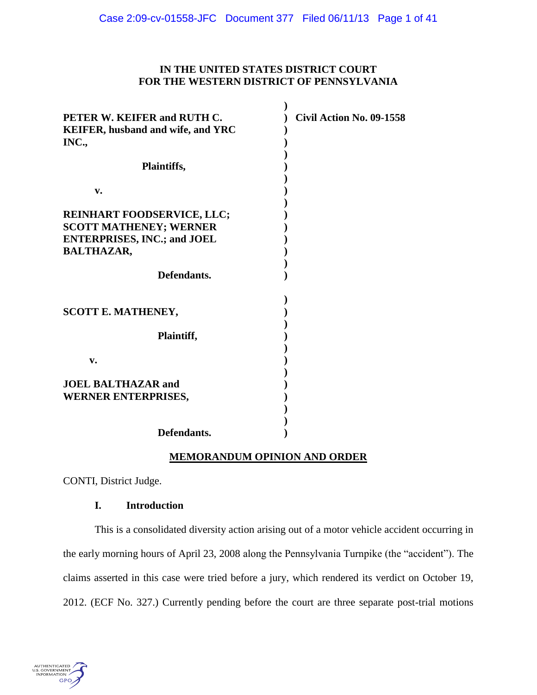# **IN THE UNITED STATES DISTRICT COURT FOR THE WESTERN DISTRICT OF PENNSYLVANIA**

**)** 

| PETER W. KEIFER and RUTH C.<br><b>KEIFER, husband and wife, and YRC</b><br>INC.,                                              | Civil Action No. 09-1558 |
|-------------------------------------------------------------------------------------------------------------------------------|--------------------------|
| Plaintiffs,                                                                                                                   |                          |
| v.                                                                                                                            |                          |
| <b>REINHART FOODSERVICE, LLC;</b><br><b>SCOTT MATHENEY; WERNER</b><br><b>ENTERPRISES, INC.; and JOEL</b><br><b>BALTHAZAR,</b> |                          |
| Defendants.                                                                                                                   |                          |
| <b>SCOTT E. MATHENEY,</b>                                                                                                     |                          |
| Plaintiff,                                                                                                                    |                          |
| v.                                                                                                                            |                          |
| <b>JOEL BALTHAZAR and</b><br><b>WERNER ENTERPRISES,</b>                                                                       |                          |
| Defendants.                                                                                                                   |                          |

# **MEMORANDUM OPINION AND ORDER**

CONTI, District Judge.

# **I. Introduction**

This is a consolidated diversity action arising out of a motor vehicle accident occurring in the early morning hours of April 23, 2008 along the Pennsylvania Turnpike (the "accident"). The claims asserted in this case were tried before a jury, which rendered its verdict on October 19, 2012. (ECF No. 327.) Currently pending before the court are three separate post-trial motions

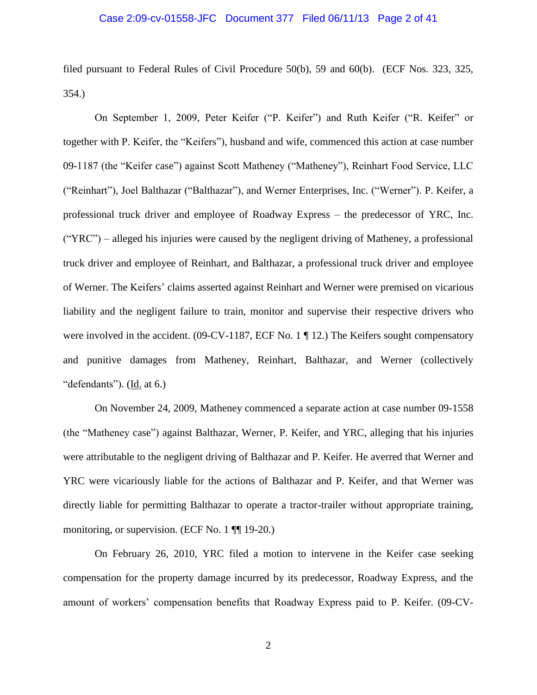#### Case 2:09-cv-01558-JFC Document 377 Filed 06/11/13 Page 2 of 41

filed pursuant to Federal Rules of Civil Procedure 50(b), 59 and 60(b). (ECF Nos. 323, 325, 354.)

On September 1, 2009, Peter Keifer ("P. Keifer") and Ruth Keifer ("R. Keifer" or together with P. Keifer, the "Keifers"), husband and wife, commenced this action at case number 09-1187 (the "Keifer case") against Scott Matheney ("Matheney"), Reinhart Food Service, LLC ("Reinhart"), Joel Balthazar ("Balthazar"), and Werner Enterprises, Inc. ("Werner"). P. Keifer, a professional truck driver and employee of Roadway Express – the predecessor of YRC, Inc. ("YRC") – alleged his injuries were caused by the negligent driving of Matheney, a professional truck driver and employee of Reinhart, and Balthazar, a professional truck driver and employee of Werner. The Keifers' claims asserted against Reinhart and Werner were premised on vicarious liability and the negligent failure to train, monitor and supervise their respective drivers who were involved in the accident. (09-CV-1187, ECF No. 1 ¶ 12.) The Keifers sought compensatory and punitive damages from Matheney, Reinhart, Balthazar, and Werner (collectively "defendants"). (Id. at 6.)

On November 24, 2009, Matheney commenced a separate action at case number 09-1558 (the "Matheney case") against Balthazar, Werner, P. Keifer, and YRC, alleging that his injuries were attributable to the negligent driving of Balthazar and P. Keifer. He averred that Werner and YRC were vicariously liable for the actions of Balthazar and P. Keifer, and that Werner was directly liable for permitting Balthazar to operate a tractor-trailer without appropriate training, monitoring, or supervision. (ECF No. 1 ¶¶ 19-20.)

On February 26, 2010, YRC filed a motion to intervene in the Keifer case seeking compensation for the property damage incurred by its predecessor, Roadway Express, and the amount of workers' compensation benefits that Roadway Express paid to P. Keifer. (09-CV-

2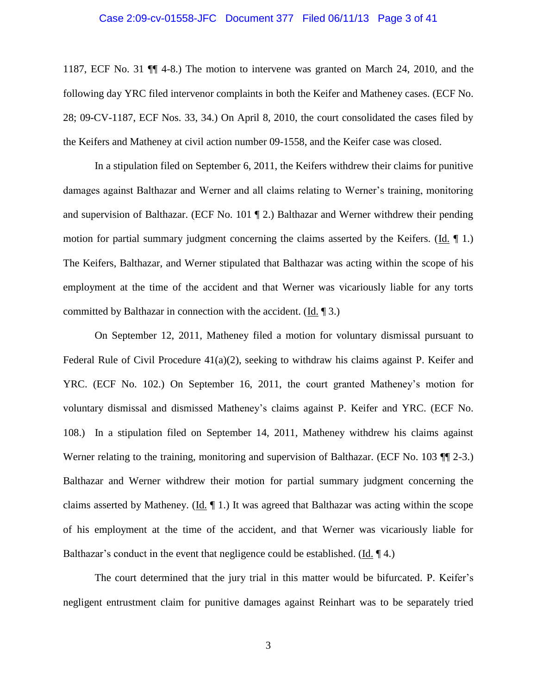#### Case 2:09-cv-01558-JFC Document 377 Filed 06/11/13 Page 3 of 41

1187, ECF No. 31 ¶¶ 4-8.) The motion to intervene was granted on March 24, 2010, and the following day YRC filed intervenor complaints in both the Keifer and Matheney cases. (ECF No. 28; 09-CV-1187, ECF Nos. 33, 34.) On April 8, 2010, the court consolidated the cases filed by the Keifers and Matheney at civil action number 09-1558, and the Keifer case was closed.

In a stipulation filed on September 6, 2011, the Keifers withdrew their claims for punitive damages against Balthazar and Werner and all claims relating to Werner's training, monitoring and supervision of Balthazar. (ECF No. 101 ¶ 2.) Balthazar and Werner withdrew their pending motion for partial summary judgment concerning the claims asserted by the Keifers. (Id.  $\P$  1.) The Keifers, Balthazar, and Werner stipulated that Balthazar was acting within the scope of his employment at the time of the accident and that Werner was vicariously liable for any torts committed by Balthazar in connection with the accident. (Id. ¶ 3.)

On September 12, 2011, Matheney filed a motion for voluntary dismissal pursuant to Federal Rule of Civil Procedure 41(a)(2), seeking to withdraw his claims against P. Keifer and YRC. (ECF No. 102.) On September 16, 2011, the court granted Matheney's motion for voluntary dismissal and dismissed Matheney's claims against P. Keifer and YRC. (ECF No. 108.) In a stipulation filed on September 14, 2011, Matheney withdrew his claims against Werner relating to the training, monitoring and supervision of Balthazar. (ECF No. 103 ¶ 2-3.) Balthazar and Werner withdrew their motion for partial summary judgment concerning the claims asserted by Matheney. ( $\underline{Id}$ ,  $\P$  1.) It was agreed that Balthazar was acting within the scope of his employment at the time of the accident, and that Werner was vicariously liable for Balthazar's conduct in the event that negligence could be established. (Id. ¶ 4.)

The court determined that the jury trial in this matter would be bifurcated. P. Keifer's negligent entrustment claim for punitive damages against Reinhart was to be separately tried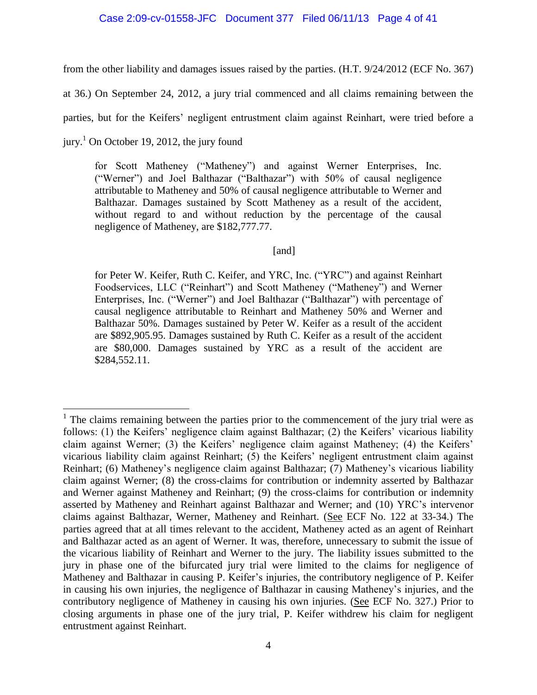# Case 2:09-cv-01558-JFC Document 377 Filed 06/11/13 Page 4 of 41

from the other liability and damages issues raised by the parties. (H.T. 9/24/2012 (ECF No. 367)

at 36.) On September 24, 2012, a jury trial commenced and all claims remaining between the

parties, but for the Keifers' negligent entrustment claim against Reinhart, were tried before a

jury.<sup>1</sup> On October 19, 2012, the jury found

for Scott Matheney ("Matheney") and against Werner Enterprises, Inc. ("Werner") and Joel Balthazar ("Balthazar") with 50% of causal negligence attributable to Matheney and 50% of causal negligence attributable to Werner and Balthazar. Damages sustained by Scott Matheney as a result of the accident, without regard to and without reduction by the percentage of the causal negligence of Matheney, are \$182,777.77.

[and]

for Peter W. Keifer, Ruth C. Keifer, and YRC, Inc. ("YRC") and against Reinhart Foodservices, LLC ("Reinhart") and Scott Matheney ("Matheney") and Werner Enterprises, Inc. ("Werner") and Joel Balthazar ("Balthazar") with percentage of causal negligence attributable to Reinhart and Matheney 50% and Werner and Balthazar 50%. Damages sustained by Peter W. Keifer as a result of the accident are \$892,905.95. Damages sustained by Ruth C. Keifer as a result of the accident are \$80,000. Damages sustained by YRC as a result of the accident are \$284,552.11.

 $\overline{a}$  $<sup>1</sup>$  The claims remaining between the parties prior to the commencement of the jury trial were as</sup> follows: (1) the Keifers' negligence claim against Balthazar; (2) the Keifers' vicarious liability claim against Werner; (3) the Keifers' negligence claim against Matheney; (4) the Keifers' vicarious liability claim against Reinhart; (5) the Keifers' negligent entrustment claim against Reinhart; (6) Matheney's negligence claim against Balthazar; (7) Matheney's vicarious liability claim against Werner; (8) the cross-claims for contribution or indemnity asserted by Balthazar and Werner against Matheney and Reinhart; (9) the cross-claims for contribution or indemnity asserted by Matheney and Reinhart against Balthazar and Werner; and (10) YRC's intervenor claims against Balthazar, Werner, Matheney and Reinhart. (See ECF No. 122 at 33-34.) The parties agreed that at all times relevant to the accident, Matheney acted as an agent of Reinhart and Balthazar acted as an agent of Werner. It was, therefore, unnecessary to submit the issue of the vicarious liability of Reinhart and Werner to the jury. The liability issues submitted to the jury in phase one of the bifurcated jury trial were limited to the claims for negligence of Matheney and Balthazar in causing P. Keifer's injuries, the contributory negligence of P. Keifer in causing his own injuries, the negligence of Balthazar in causing Matheney's injuries, and the contributory negligence of Matheney in causing his own injuries. (See ECF No. 327.) Prior to closing arguments in phase one of the jury trial, P. Keifer withdrew his claim for negligent entrustment against Reinhart.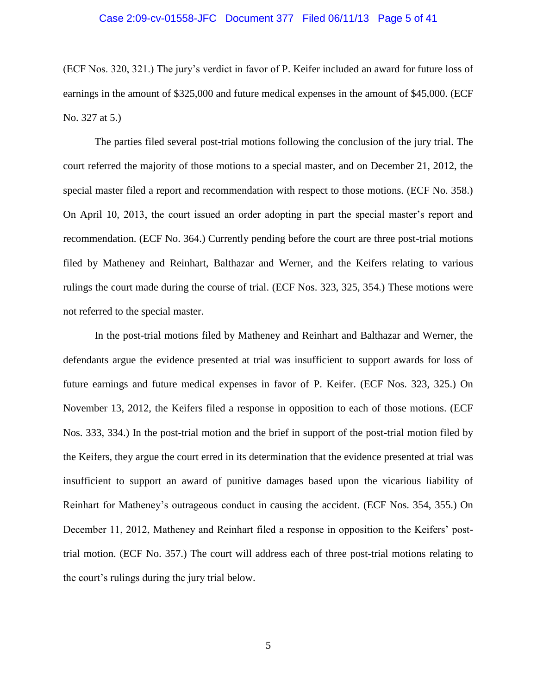#### Case 2:09-cv-01558-JFC Document 377 Filed 06/11/13 Page 5 of 41

(ECF Nos. 320, 321.) The jury's verdict in favor of P. Keifer included an award for future loss of earnings in the amount of \$325,000 and future medical expenses in the amount of \$45,000. (ECF No. 327 at 5.)

The parties filed several post-trial motions following the conclusion of the jury trial. The court referred the majority of those motions to a special master, and on December 21, 2012, the special master filed a report and recommendation with respect to those motions. (ECF No. 358.) On April 10, 2013, the court issued an order adopting in part the special master's report and recommendation. (ECF No. 364.) Currently pending before the court are three post-trial motions filed by Matheney and Reinhart, Balthazar and Werner, and the Keifers relating to various rulings the court made during the course of trial. (ECF Nos. 323, 325, 354.) These motions were not referred to the special master.

In the post-trial motions filed by Matheney and Reinhart and Balthazar and Werner, the defendants argue the evidence presented at trial was insufficient to support awards for loss of future earnings and future medical expenses in favor of P. Keifer. (ECF Nos. 323, 325.) On November 13, 2012, the Keifers filed a response in opposition to each of those motions. (ECF Nos. 333, 334.) In the post-trial motion and the brief in support of the post-trial motion filed by the Keifers, they argue the court erred in its determination that the evidence presented at trial was insufficient to support an award of punitive damages based upon the vicarious liability of Reinhart for Matheney's outrageous conduct in causing the accident. (ECF Nos. 354, 355.) On December 11, 2012, Matheney and Reinhart filed a response in opposition to the Keifers' posttrial motion. (ECF No. 357.) The court will address each of three post-trial motions relating to the court's rulings during the jury trial below.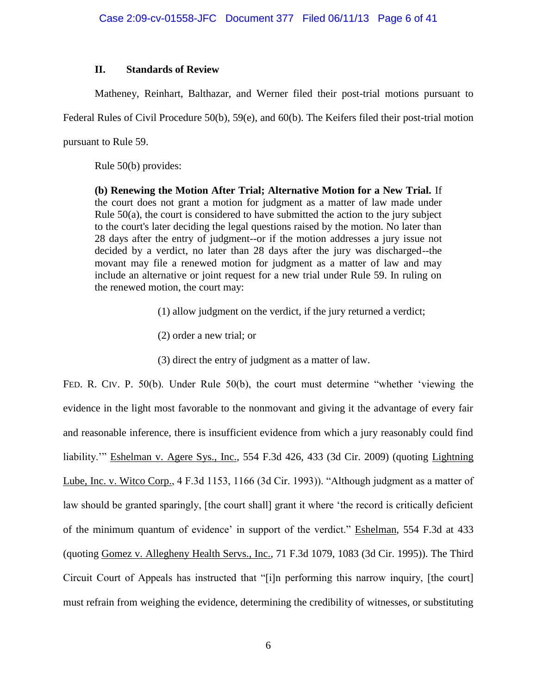# **II. Standards of Review**

Matheney, Reinhart, Balthazar, and Werner filed their post-trial motions pursuant to

Federal Rules of Civil Procedure 50(b), 59(e), and 60(b). The Keifers filed their post-trial motion

pursuant to Rule 59.

Rule 50(b) provides:

**(b) Renewing the Motion After Trial; Alternative Motion for a New Trial.** If the court does not grant a motion for judgment as a matter of law made under Rule 50(a), the court is considered to have submitted the action to the jury subject to the court's later deciding the legal questions raised by the motion. No later than 28 days after the entry of judgment--or if the motion addresses a jury issue not decided by a verdict, no later than 28 days after the jury was discharged--the movant may file a renewed motion for judgment as a matter of law and may include an alternative or joint request for a new trial under Rule 59. In ruling on the renewed motion, the court may:

(1) allow judgment on the verdict, if the jury returned a verdict;

- (2) order a new trial; or
- (3) direct the entry of judgment as a matter of law.

FED. R. CIV. P. 50(b). Under Rule 50(b), the court must determine "whether 'viewing the evidence in the light most favorable to the nonmovant and giving it the advantage of every fair and reasonable inference, there is insufficient evidence from which a jury reasonably could find liability.'" Eshelman v. Agere Sys., Inc., 554 F.3d 426, 433 (3d Cir. 2009) (quoting Lightning Lube, Inc. v. Witco Corp., 4 F.3d 1153, 1166 (3d Cir. 1993)). "Although judgment as a matter of law should be granted sparingly, [the court shall] grant it where 'the record is critically deficient of the minimum quantum of evidence' in support of the verdict." Eshelman, 554 F.3d at 433 (quoting Gomez v. Allegheny Health Servs., Inc., 71 F.3d 1079, 1083 (3d Cir. 1995)). The Third Circuit Court of Appeals has instructed that "[i]n performing this narrow inquiry, [the court] must refrain from weighing the evidence, determining the credibility of witnesses, or substituting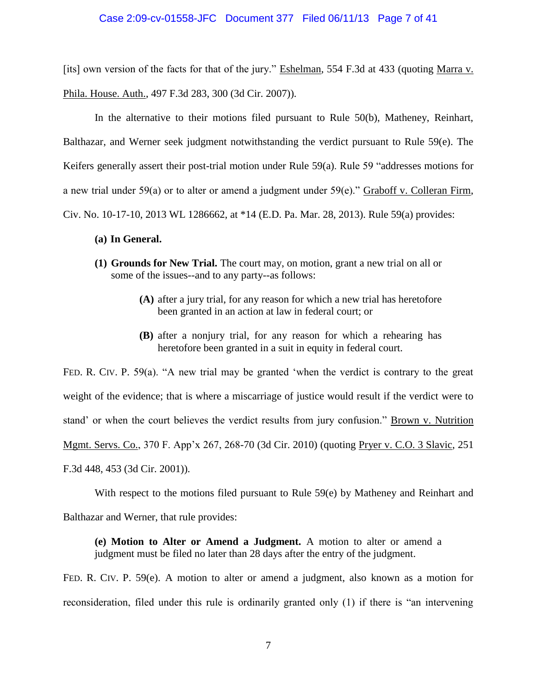### Case 2:09-cv-01558-JFC Document 377 Filed 06/11/13 Page 7 of 41

[its] own version of the facts for that of the jury." Eshelman, 554 F.3d at 433 (quoting Marra v. Phila. House. Auth., 497 F.3d 283, 300 (3d Cir. 2007)).

In the alternative to their motions filed pursuant to Rule 50(b), Matheney, Reinhart, Balthazar, and Werner seek judgment notwithstanding the verdict pursuant to Rule 59(e). The Keifers generally assert their post-trial motion under Rule 59(a). Rule 59 "addresses motions for a new trial under 59(a) or to alter or amend a judgment under 59(e)." Graboff v. Colleran Firm, Civ. No. 10-17-10, 2013 WL 1286662, at \*14 (E.D. Pa. Mar. 28, 2013). Rule 59(a) provides:

#### **(a) In General.**

- **(1) Grounds for New Trial.** The court may, on motion, grant a new trial on all or some of the issues--and to any party--as follows:
	- **(A)** after a jury trial, for any reason for which a new trial has heretofore been granted in an action at law in federal court; or
	- **(B)** after a nonjury trial, for any reason for which a rehearing has heretofore been granted in a suit in equity in federal court.

FED. R. CIV. P. 59(a). "A new trial may be granted 'when the verdict is contrary to the great weight of the evidence; that is where a miscarriage of justice would result if the verdict were to stand' or when the court believes the verdict results from jury confusion." Brown v. Nutrition Mgmt. Servs. Co., 370 F. App'x 267, 268-70 (3d Cir. 2010) (quoting Pryer v. C.O. 3 Slavic, 251 F.3d 448, 453 (3d Cir. 2001)).

With respect to the motions filed pursuant to Rule 59(e) by Matheney and Reinhart and

Balthazar and Werner, that rule provides:

**(e) Motion to Alter or Amend a Judgment.** A motion to alter or amend a judgment must be filed no later than 28 days after the entry of the judgment.

FED. R. CIV. P. 59(e). A motion to alter or amend a judgment, also known as a motion for reconsideration, filed under this rule is ordinarily granted only (1) if there is "an intervening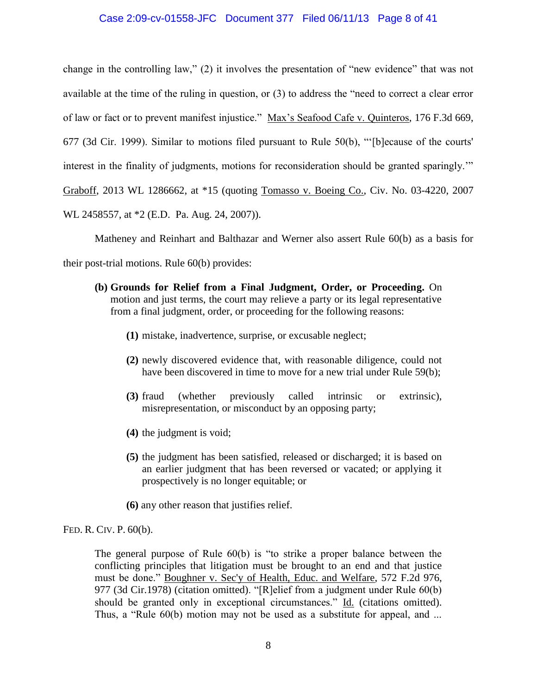# Case 2:09-cv-01558-JFC Document 377 Filed 06/11/13 Page 8 of 41

change in the controlling law," (2) it involves the presentation of "new evidence" that was not available at the time of the ruling in question, or (3) to address the "need to correct a clear error of law or fact or to prevent manifest injustice." Max's Seafood Cafe v. Quinteros, 176 F.3d 669, 677 (3d Cir. 1999). Similar to motions filed pursuant to Rule 50(b), "'[b]ecause of the courts' interest in the finality of judgments, motions for reconsideration should be granted sparingly.'" Graboff, 2013 WL 1286662, at \*15 (quoting Tomasso v. Boeing Co., Civ. No. 03-4220, 2007 WL 2458557, at \*2 (E.D. Pa. Aug. 24, 2007)).

Matheney and Reinhart and Balthazar and Werner also assert Rule 60(b) as a basis for their post-trial motions. Rule 60(b) provides:

- **(b) Grounds for Relief from a Final Judgment, Order, or Proceeding.** On motion and just terms, the court may relieve a party or its legal representative from a final judgment, order, or proceeding for the following reasons:
	- **(1)** mistake, inadvertence, surprise, or excusable neglect;
	- **(2)** newly discovered evidence that, with reasonable diligence, could not have been discovered in time to move for a new trial under Rule 59(b);
	- **(3)** fraud (whether previously called intrinsic or extrinsic), misrepresentation, or misconduct by an opposing party;
	- **(4)** the judgment is void;
	- **(5)** the judgment has been satisfied, released or discharged; it is based on an earlier judgment that has been reversed or vacated; or applying it prospectively is no longer equitable; or
	- **(6)** any other reason that justifies relief.

FED. R. CIV. P. 60(b).

The general purpose of Rule 60(b) is "to strike a proper balance between the conflicting principles that litigation must be brought to an end and that justice must be done." Boughner v. Sec'y of Health, Educ. and Welfare, 572 F.2d 976, 977 (3d Cir.1978) (citation omitted). "[R]elief from a judgment under Rule 60(b) should be granted only in exceptional circumstances." Id. (citations omitted). Thus, a "Rule 60(b) motion may not be used as a substitute for appeal, and ...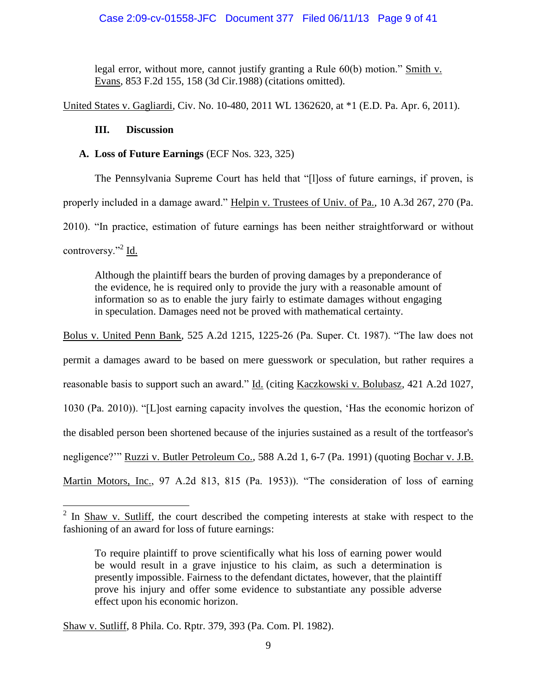legal error, without more, cannot justify granting a Rule 60(b) motion." Smith v. Evans, 853 F.2d 155, 158 (3d Cir.1988) (citations omitted).

United States v. Gagliardi, Civ. No. 10-480, 2011 WL 1362620, at \*1 (E.D. Pa. Apr. 6, 2011).

# **III. Discussion**

 $\overline{a}$ 

# **A. Loss of Future Earnings** (ECF Nos. 323, 325)

The Pennsylvania Supreme Court has held that "[l]oss of future earnings, if proven, is properly included in a damage award." Helpin v. Trustees of Univ. of Pa., 10 A.3d 267, 270 (Pa. 2010). "In practice, estimation of future earnings has been neither straightforward or without controversy."<sup>2</sup> Id.

Although the plaintiff bears the burden of proving damages by a preponderance of the evidence, he is required only to provide the jury with a reasonable amount of information so as to enable the jury fairly to estimate damages without engaging in speculation. Damages need not be proved with mathematical certainty.

Bolus v. United Penn Bank, 525 A.2d 1215, 1225-26 (Pa. Super. Ct. 1987). "The law does not permit a damages award to be based on mere guesswork or speculation, but rather requires a reasonable basis to support such an award." Id. (citing Kaczkowski v. Bolubasz, 421 A.2d 1027, 1030 (Pa. 2010)). "[L]ost earning capacity involves the question, 'Has the economic horizon of the disabled person been shortened because of the injuries sustained as a result of the tortfeasor's negligence?'" Ruzzi v. Butler Petroleum Co., 588 A.2d 1, 6-7 (Pa. 1991) (quoting Bochar v. J.B. Martin Motors, Inc., 97 A.2d 813, 815 (Pa. 1953)). "The consideration of loss of earning

 $2 \text{ In } \underline{\text{Shaw v.} \underline{\text{Sutliff}}}$ , the court described the competing interests at stake with respect to the fashioning of an award for loss of future earnings:

To require plaintiff to prove scientifically what his loss of earning power would be would result in a grave injustice to his claim, as such a determination is presently impossible. Fairness to the defendant dictates, however, that the plaintiff prove his injury and offer some evidence to substantiate any possible adverse effect upon his economic horizon.

Shaw v. Sutliff, 8 Phila. Co. Rptr. 379, 393 (Pa. Com. Pl. 1982).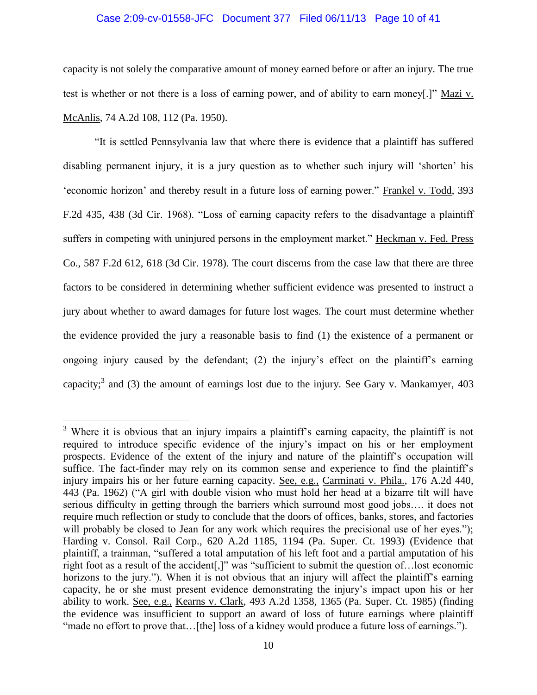#### Case 2:09-cv-01558-JFC Document 377 Filed 06/11/13 Page 10 of 41

capacity is not solely the comparative amount of money earned before or after an injury. The true test is whether or not there is a loss of earning power, and of ability to earn money[.]" Mazi v. McAnlis, 74 A.2d 108, 112 (Pa. 1950).

"It is settled Pennsylvania law that where there is evidence that a plaintiff has suffered disabling permanent injury, it is a jury question as to whether such injury will 'shorten' his 'economic horizon' and thereby result in a future loss of earning power." Frankel v. Todd, 393 F.2d 435, 438 (3d Cir. 1968). "Loss of earning capacity refers to the disadvantage a plaintiff suffers in competing with uninjured persons in the employment market." Heckman v. Fed. Press Co., 587 F.2d 612, 618 (3d Cir. 1978). The court discerns from the case law that there are three factors to be considered in determining whether sufficient evidence was presented to instruct a jury about whether to award damages for future lost wages. The court must determine whether the evidence provided the jury a reasonable basis to find (1) the existence of a permanent or ongoing injury caused by the defendant; (2) the injury's effect on the plaintiff's earning capacity;<sup>3</sup> and (3) the amount of earnings lost due to the injury. <u>See Gary v. Mankamyer</u>, 403

 $\overline{a}$ 

 $3$  Where it is obvious that an injury impairs a plaintiff's earning capacity, the plaintiff is not required to introduce specific evidence of the injury's impact on his or her employment prospects. Evidence of the extent of the injury and nature of the plaintiff's occupation will suffice. The fact-finder may rely on its common sense and experience to find the plaintiff's injury impairs his or her future earning capacity. See, e.g., Carminati v. Phila., 176 A.2d 440, 443 (Pa. 1962) ("A girl with double vision who must hold her head at a bizarre tilt will have serious difficulty in getting through the barriers which surround most good jobs…. it does not require much reflection or study to conclude that the doors of offices, banks, stores, and factories will probably be closed to Jean for any work which requires the precisional use of her eyes."); Harding v. Consol. Rail Corp., 620 A.2d 1185, 1194 (Pa. Super. Ct. 1993) (Evidence that plaintiff, a trainman, "suffered a total amputation of his left foot and a partial amputation of his right foot as a result of the accident[,]" was "sufficient to submit the question of…lost economic horizons to the jury."). When it is not obvious that an injury will affect the plaintiff's earning capacity, he or she must present evidence demonstrating the injury's impact upon his or her ability to work. See, e.g., Kearns v. Clark, 493 A.2d 1358, 1365 (Pa. Super. Ct. 1985) (finding the evidence was insufficient to support an award of loss of future earnings where plaintiff "made no effort to prove that...[the] loss of a kidney would produce a future loss of earnings.").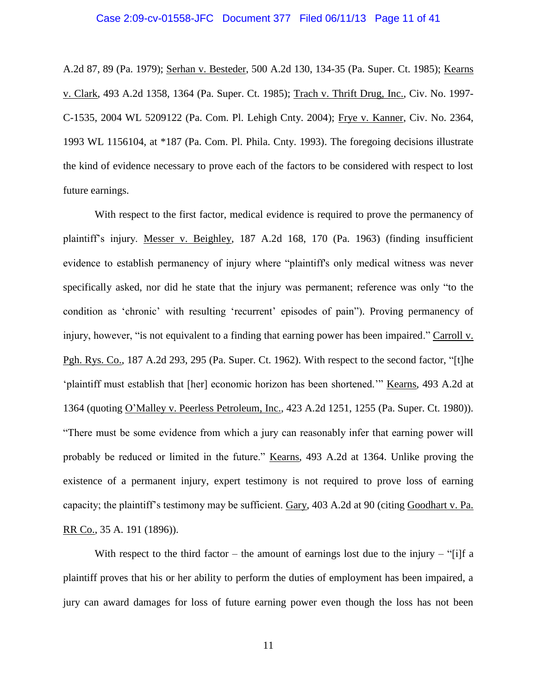#### Case 2:09-cv-01558-JFC Document 377 Filed 06/11/13 Page 11 of 41

A.2d 87, 89 (Pa. 1979); Serhan v. Besteder, 500 A.2d 130, 134-35 (Pa. Super. Ct. 1985); Kearns v. Clark, 493 A.2d 1358, 1364 (Pa. Super. Ct. 1985); Trach v. Thrift Drug, Inc., Civ. No. 1997- C-1535, 2004 WL 5209122 (Pa. Com. Pl. Lehigh Cnty. 2004); Frye v. Kanner, Civ. No. 2364, 1993 WL 1156104, at \*187 (Pa. Com. Pl. Phila. Cnty. 1993). The foregoing decisions illustrate the kind of evidence necessary to prove each of the factors to be considered with respect to lost future earnings.

With respect to the first factor, medical evidence is required to prove the permanency of plaintiff's injury. Messer v. Beighley, 187 A.2d 168, 170 (Pa. 1963) (finding insufficient evidence to establish permanency of injury where "plaintiff's only medical witness was never specifically asked, nor did he state that the injury was permanent; reference was only "to the condition as 'chronic' with resulting 'recurrent' episodes of pain"). Proving permanency of injury, however, "is not equivalent to a finding that earning power has been impaired." Carroll v. Pgh. Rys. Co., 187 A.2d 293, 295 (Pa. Super. Ct. 1962). With respect to the second factor, "[t]he 'plaintiff must establish that [her] economic horizon has been shortened.'" Kearns, 493 A.2d at 1364 (quoting O'Malley v. Peerless Petroleum, Inc., 423 A.2d 1251, 1255 (Pa. Super. Ct. 1980)). "There must be some evidence from which a jury can reasonably infer that earning power will probably be reduced or limited in the future." Kearns, 493 A.2d at 1364. Unlike proving the existence of a permanent injury, expert testimony is not required to prove loss of earning capacity; the plaintiff's testimony may be sufficient. Gary, 403 A.2d at 90 (citing Goodhart v. Pa. RR Co., 35 A. 191 (1896)).

With respect to the third factor – the amount of earnings lost due to the injury – "[i]f a plaintiff proves that his or her ability to perform the duties of employment has been impaired, a jury can award damages for loss of future earning power even though the loss has not been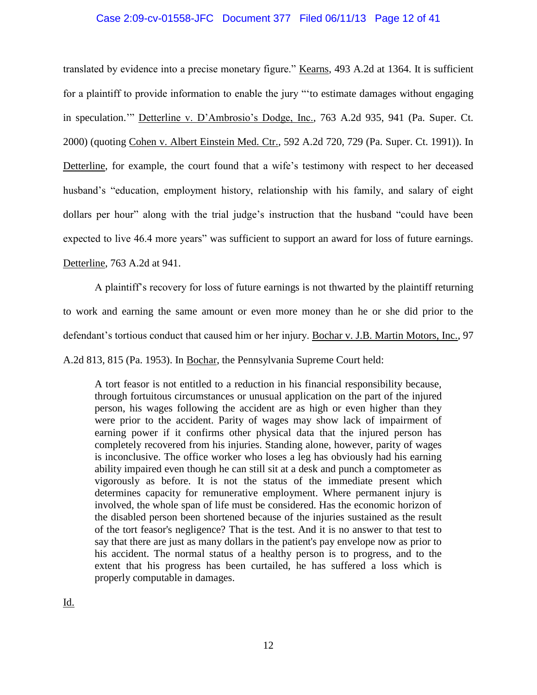## Case 2:09-cv-01558-JFC Document 377 Filed 06/11/13 Page 12 of 41

translated by evidence into a precise monetary figure." Kearns, 493 A.2d at 1364. It is sufficient for a plaintiff to provide information to enable the jury "'to estimate damages without engaging in speculation.'" Detterline v. D'Ambrosio's Dodge, Inc., 763 A.2d 935, 941 (Pa. Super. Ct. 2000) (quoting Cohen v. Albert Einstein Med. Ctr., 592 A.2d 720, 729 (Pa. Super. Ct. 1991)). In Detterline, for example, the court found that a wife's testimony with respect to her deceased husband's "education, employment history, relationship with his family, and salary of eight dollars per hour" along with the trial judge's instruction that the husband "could have been expected to live 46.4 more years" was sufficient to support an award for loss of future earnings.

Detterline, 763 A.2d at 941.

A plaintiff's recovery for loss of future earnings is not thwarted by the plaintiff returning to work and earning the same amount or even more money than he or she did prior to the defendant's tortious conduct that caused him or her injury. Bochar v. J.B. Martin Motors, Inc., 97

A.2d 813, 815 (Pa. 1953). In Bochar, the Pennsylvania Supreme Court held:

A tort feasor is not entitled to a reduction in his financial responsibility because, through fortuitous circumstances or unusual application on the part of the injured person, his wages following the accident are as high or even higher than they were prior to the accident. Parity of wages may show lack of impairment of earning power if it confirms other physical data that the injured person has completely recovered from his injuries. Standing alone, however, parity of wages is inconclusive. The office worker who loses a leg has obviously had his earning ability impaired even though he can still sit at a desk and punch a comptometer as vigorously as before. It is not the status of the immediate present which determines capacity for remunerative employment. Where permanent injury is involved, the whole span of life must be considered. Has the economic horizon of the disabled person been shortened because of the injuries sustained as the result of the tort feasor's negligence? That is the test. And it is no answer to that test to say that there are just as many dollars in the patient's pay envelope now as prior to his accident. The normal status of a healthy person is to progress, and to the extent that his progress has been curtailed, he has suffered a loss which is properly computable in damages.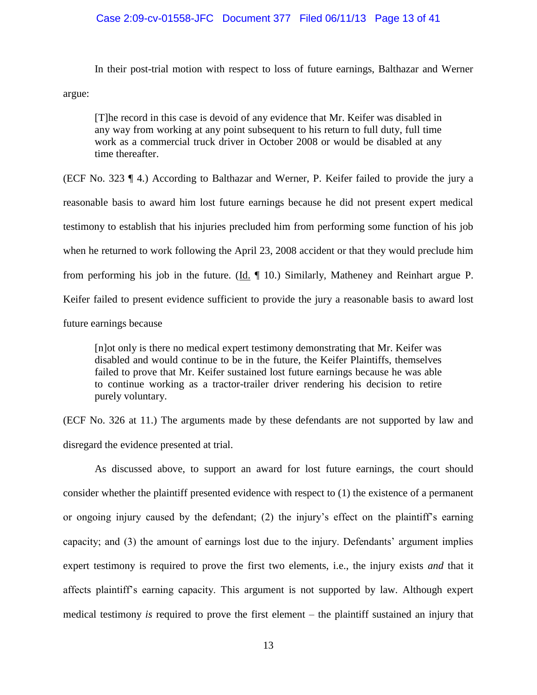# Case 2:09-cv-01558-JFC Document 377 Filed 06/11/13 Page 13 of 41

In their post-trial motion with respect to loss of future earnings, Balthazar and Werner

argue:

[T]he record in this case is devoid of any evidence that Mr. Keifer was disabled in any way from working at any point subsequent to his return to full duty, full time work as a commercial truck driver in October 2008 or would be disabled at any time thereafter.

(ECF No. 323 ¶ 4.) According to Balthazar and Werner, P. Keifer failed to provide the jury a reasonable basis to award him lost future earnings because he did not present expert medical testimony to establish that his injuries precluded him from performing some function of his job when he returned to work following the April 23, 2008 accident or that they would preclude him from performing his job in the future. (Id. ¶ 10.) Similarly, Matheney and Reinhart argue P. Keifer failed to present evidence sufficient to provide the jury a reasonable basis to award lost future earnings because

[n]ot only is there no medical expert testimony demonstrating that Mr. Keifer was disabled and would continue to be in the future, the Keifer Plaintiffs, themselves failed to prove that Mr. Keifer sustained lost future earnings because he was able to continue working as a tractor-trailer driver rendering his decision to retire purely voluntary.

(ECF No. 326 at 11.) The arguments made by these defendants are not supported by law and disregard the evidence presented at trial.

As discussed above, to support an award for lost future earnings, the court should consider whether the plaintiff presented evidence with respect to (1) the existence of a permanent or ongoing injury caused by the defendant; (2) the injury's effect on the plaintiff's earning capacity; and (3) the amount of earnings lost due to the injury. Defendants' argument implies expert testimony is required to prove the first two elements, i.e., the injury exists *and* that it affects plaintiff's earning capacity. This argument is not supported by law. Although expert medical testimony *is* required to prove the first element – the plaintiff sustained an injury that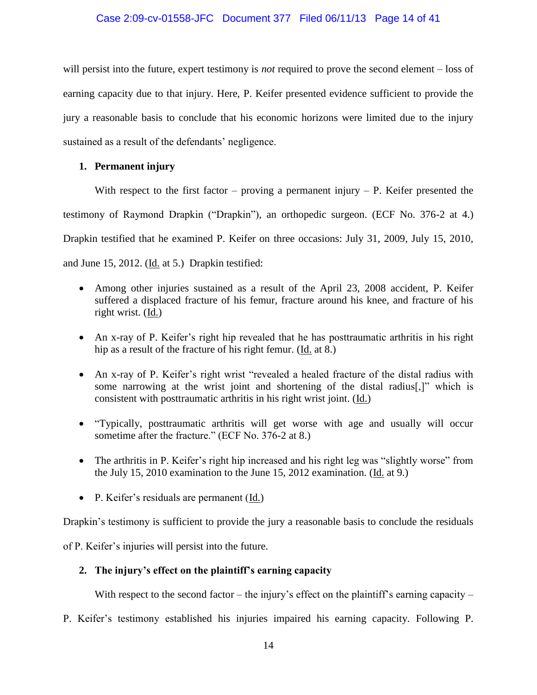# Case 2:09-cv-01558-JFC Document 377 Filed 06/11/13 Page 14 of 41

will persist into the future, expert testimony is *not* required to prove the second element – loss of earning capacity due to that injury. Here, P. Keifer presented evidence sufficient to provide the jury a reasonable basis to conclude that his economic horizons were limited due to the injury sustained as a result of the defendants' negligence.

# **1. Permanent injury**

With respect to the first factor – proving a permanent injury – P. Keifer presented the testimony of Raymond Drapkin ("Drapkin"), an orthopedic surgeon. (ECF No. 376-2 at 4.) Drapkin testified that he examined P. Keifer on three occasions: July 31, 2009, July 15, 2010, and June 15, 2012. (Id. at 5.) Drapkin testified:

- Among other injuries sustained as a result of the April 23, 2008 accident, P. Keifer suffered a displaced fracture of his femur, fracture around his knee, and fracture of his right wrist. (Id.)
- An x-ray of P. Keifer's right hip revealed that he has posttraumatic arthritis in his right hip as a result of the fracture of his right femur. (Id. at 8.)
- An x-ray of P. Keifer's right wrist "revealed a healed fracture of the distal radius with some narrowing at the wrist joint and shortening of the distal radius[,]" which is consistent with posttraumatic arthritis in his right wrist joint. (Id.)
- "Typically, posttraumatic arthritis will get worse with age and usually will occur sometime after the fracture." (ECF No. 376-2 at 8.)
- The arthritis in P. Keifer's right hip increased and his right leg was "slightly worse" from the July 15, 2010 examination to the June 15, 2012 examination. (Id. at 9.)
- P. Keifer's residuals are permanent (Id.)

Drapkin's testimony is sufficient to provide the jury a reasonable basis to conclude the residuals

of P. Keifer's injuries will persist into the future.

# **2. The injury's effect on the plaintiff's earning capacity**

With respect to the second factor – the injury's effect on the plaintiff's earning capacity –

P. Keifer's testimony established his injuries impaired his earning capacity. Following P.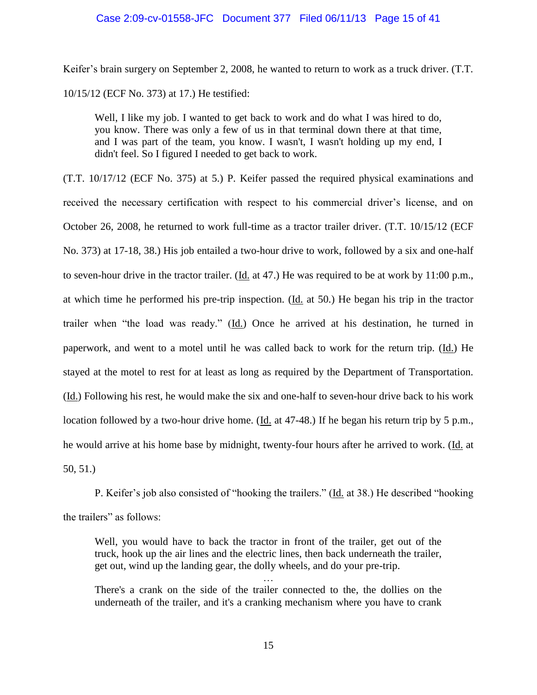#### Case 2:09-cv-01558-JFC Document 377 Filed 06/11/13 Page 15 of 41

Keifer's brain surgery on September 2, 2008, he wanted to return to work as a truck driver. (T.T. 10/15/12 (ECF No. 373) at 17.) He testified:

Well, I like my job. I wanted to get back to work and do what I was hired to do, you know. There was only a few of us in that terminal down there at that time, and I was part of the team, you know. I wasn't, I wasn't holding up my end, I didn't feel. So I figured I needed to get back to work.

(T.T. 10/17/12 (ECF No. 375) at 5.) P. Keifer passed the required physical examinations and received the necessary certification with respect to his commercial driver's license, and on October 26, 2008, he returned to work full-time as a tractor trailer driver. (T.T. 10/15/12 (ECF No. 373) at 17-18, 38.) His job entailed a two-hour drive to work, followed by a six and one-half to seven-hour drive in the tractor trailer. (Id. at 47.) He was required to be at work by 11:00 p.m., at which time he performed his pre-trip inspection. (Id. at 50.) He began his trip in the tractor trailer when "the load was ready." (Id.) Once he arrived at his destination, he turned in paperwork, and went to a motel until he was called back to work for the return trip. (Id.) He stayed at the motel to rest for at least as long as required by the Department of Transportation. (Id.) Following his rest, he would make the six and one-half to seven-hour drive back to his work location followed by a two-hour drive home. (Id. at 47-48.) If he began his return trip by 5 p.m., he would arrive at his home base by midnight, twenty-four hours after he arrived to work. (Id. at 50, 51.)

P. Keifer's job also consisted of "hooking the trailers." (Id. at 38.) He described "hooking the trailers" as follows:

Well, you would have to back the tractor in front of the trailer, get out of the truck, hook up the air lines and the electric lines, then back underneath the trailer, get out, wind up the landing gear, the dolly wheels, and do your pre-trip.

There's a crank on the side of the trailer connected to the, the dollies on the underneath of the trailer, and it's a cranking mechanism where you have to crank

…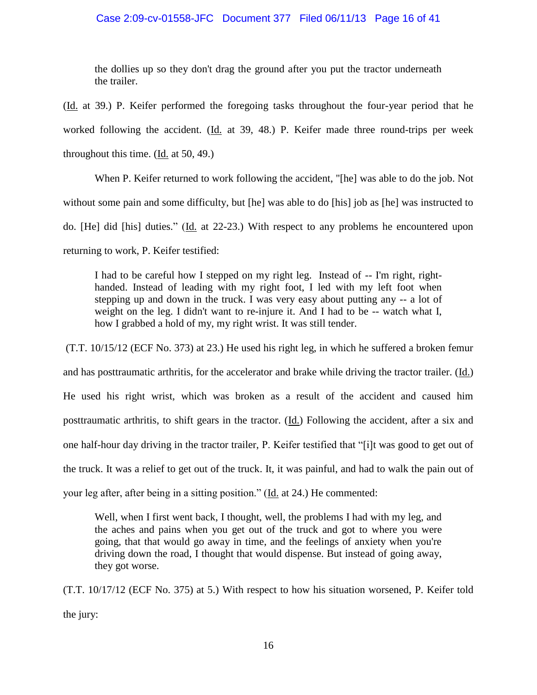# Case 2:09-cv-01558-JFC Document 377 Filed 06/11/13 Page 16 of 41

the dollies up so they don't drag the ground after you put the tractor underneath the trailer.

(Id. at 39.) P. Keifer performed the foregoing tasks throughout the four-year period that he worked following the accident. (Id. at 39, 48.) P. Keifer made three round-trips per week throughout this time. (Id. at 50, 49.)

When P. Keifer returned to work following the accident, "[he] was able to do the job. Not without some pain and some difficulty, but [he] was able to do [his] job as [he] was instructed to do. [He] did [his] duties." (Id. at 22-23.) With respect to any problems he encountered upon returning to work, P. Keifer testified:

I had to be careful how I stepped on my right leg. Instead of -- I'm right, righthanded. Instead of leading with my right foot, I led with my left foot when stepping up and down in the truck. I was very easy about putting any -- a lot of weight on the leg. I didn't want to re-injure it. And I had to be -- watch what I, how I grabbed a hold of my, my right wrist. It was still tender.

(T.T. 10/15/12 (ECF No. 373) at 23.) He used his right leg, in which he suffered a broken femur and has posttraumatic arthritis, for the accelerator and brake while driving the tractor trailer. (Id.) He used his right wrist, which was broken as a result of the accident and caused him posttraumatic arthritis, to shift gears in the tractor. (Id.) Following the accident, after a six and one half-hour day driving in the tractor trailer, P. Keifer testified that "[i]t was good to get out of the truck. It was a relief to get out of the truck. It, it was painful, and had to walk the pain out of your leg after, after being in a sitting position." (Id. at 24.) He commented:

Well, when I first went back, I thought, well, the problems I had with my leg, and the aches and pains when you get out of the truck and got to where you were going, that that would go away in time, and the feelings of anxiety when you're driving down the road, I thought that would dispense. But instead of going away, they got worse.

(T.T. 10/17/12 (ECF No. 375) at 5.) With respect to how his situation worsened, P. Keifer told the jury: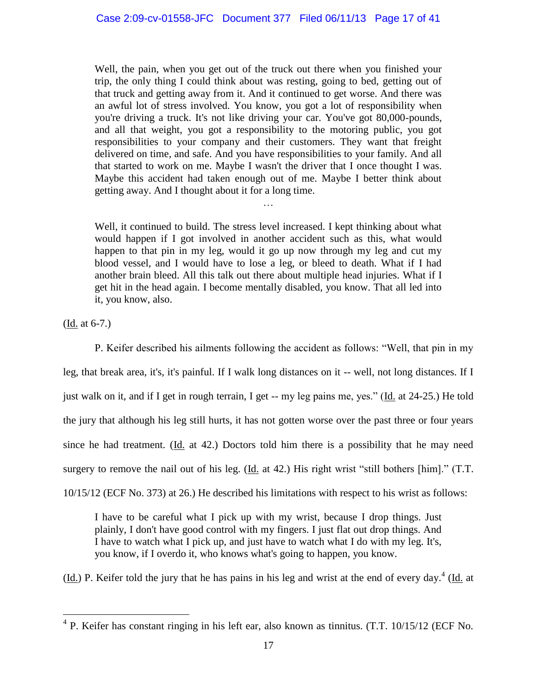Well, the pain, when you get out of the truck out there when you finished your trip, the only thing I could think about was resting, going to bed, getting out of that truck and getting away from it. And it continued to get worse. And there was an awful lot of stress involved. You know, you got a lot of responsibility when you're driving a truck. It's not like driving your car. You've got 80,000-pounds, and all that weight, you got a responsibility to the motoring public, you got responsibilities to your company and their customers. They want that freight delivered on time, and safe. And you have responsibilities to your family. And all that started to work on me. Maybe I wasn't the driver that I once thought I was. Maybe this accident had taken enough out of me. Maybe I better think about getting away. And I thought about it for a long time.

Well, it continued to build. The stress level increased. I kept thinking about what would happen if I got involved in another accident such as this, what would happen to that pin in my leg, would it go up now through my leg and cut my blood vessel, and I would have to lose a leg, or bleed to death. What if I had another brain bleed. All this talk out there about multiple head injuries. What if I get hit in the head again. I become mentally disabled, you know. That all led into it, you know, also.

…

(Id. at 6-7.)

P. Keifer described his ailments following the accident as follows: "Well, that pin in my leg, that break area, it's, it's painful. If I walk long distances on it -- well, not long distances. If I just walk on it, and if I get in rough terrain, I get -- my leg pains me, yes." (Id. at 24-25.) He told the jury that although his leg still hurts, it has not gotten worse over the past three or four years since he had treatment. (Id. at 42.) Doctors told him there is a possibility that he may need surgery to remove the nail out of his leg. (Id. at 42.) His right wrist "still bothers [him]." (T.T. 10/15/12 (ECF No. 373) at 26.) He described his limitations with respect to his wrist as follows:

I have to be careful what I pick up with my wrist, because I drop things. Just plainly, I don't have good control with my fingers. I just flat out drop things. And I have to watch what I pick up, and just have to watch what I do with my leg. It's, you know, if I overdo it, who knows what's going to happen, you know.

 $(Ld)$  P. Keifer told the jury that he has pains in his leg and wrist at the end of every day.<sup>4</sup> (*Id.* at

 4 P. Keifer has constant ringing in his left ear, also known as tinnitus. (T.T. 10/15/12 (ECF No.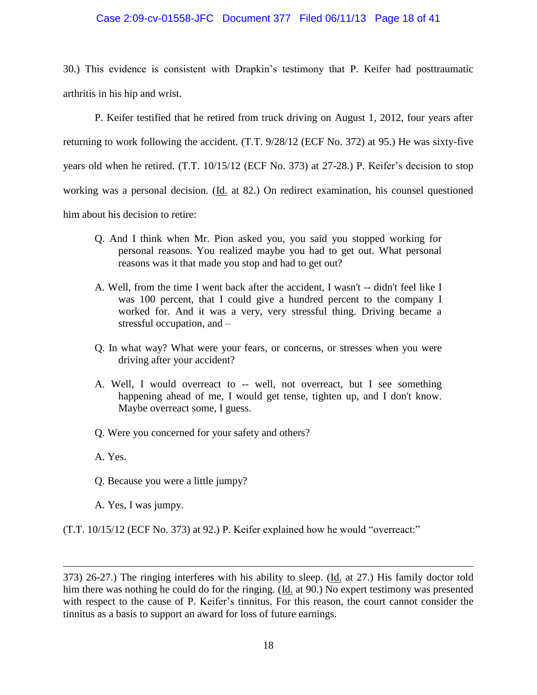## Case 2:09-cv-01558-JFC Document 377 Filed 06/11/13 Page 18 of 41

30.) This evidence is consistent with Drapkin's testimony that P. Keifer had posttraumatic arthritis in his hip and wrist.

P. Keifer testified that he retired from truck driving on August 1, 2012, four years after returning to work following the accident. (T.T. 9/28/12 (ECF No. 372) at 95.) He was sixty-five years old when he retired. (T.T. 10/15/12 (ECF No. 373) at 27-28.) P. Keifer's decision to stop working was a personal decision. (Id. at 82.) On redirect examination, his counsel questioned him about his decision to retire:

- Q. And I think when Mr. Pion asked you, you said you stopped working for personal reasons. You realized maybe you had to get out. What personal reasons was it that made you stop and had to get out?
- A. Well, from the time I went back after the accident, I wasn't -- didn't feel like I was 100 percent, that I could give a hundred percent to the company I worked for. And it was a very, very stressful thing. Driving became a stressful occupation, and –
- Q. In what way? What were your fears, or concerns, or stresses when you were driving after your accident?
- A. Well, I would overreact to -- well, not overreact, but I see something happening ahead of me, I would get tense, tighten up, and I don't know. Maybe overreact some, I guess.
- Q. Were you concerned for your safety and others?
- A. Yes.

 $\overline{a}$ 

- Q. Because you were a little jumpy?
- A. Yes, I was jumpy.

(T.T. 10/15/12 (ECF No. 373) at 92.) P. Keifer explained how he would "overreact:"

<sup>373) 26-27.)</sup> The ringing interferes with his ability to sleep. (Id. at 27.) His family doctor told him there was nothing he could do for the ringing. (Id. at 90.) No expert testimony was presented with respect to the cause of P. Keifer's tinnitus. For this reason, the court cannot consider the tinnitus as a basis to support an award for loss of future earnings.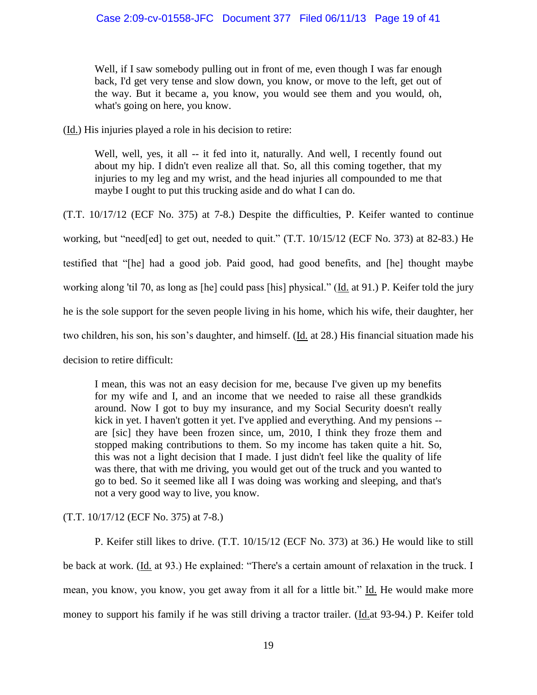Well, if I saw somebody pulling out in front of me, even though I was far enough back, I'd get very tense and slow down, you know, or move to the left, get out of the way. But it became a, you know, you would see them and you would, oh, what's going on here, you know.

(Id.) His injuries played a role in his decision to retire:

Well, well, yes, it all -- it fed into it, naturally. And well, I recently found out about my hip. I didn't even realize all that. So, all this coming together, that my injuries to my leg and my wrist, and the head injuries all compounded to me that maybe I ought to put this trucking aside and do what I can do.

(T.T. 10/17/12 (ECF No. 375) at 7-8.) Despite the difficulties, P. Keifer wanted to continue working, but "need[ed] to get out, needed to quit." (T.T. 10/15/12 (ECF No. 373) at 82-83.) He testified that "[he] had a good job. Paid good, had good benefits, and [he] thought maybe working along 'til 70, as long as [he] could pass [his] physical." (Id. at 91.) P. Keifer told the jury he is the sole support for the seven people living in his home, which his wife, their daughter, her two children, his son, his son's daughter, and himself. (Id. at 28.) His financial situation made his decision to retire difficult:

I mean, this was not an easy decision for me, because I've given up my benefits for my wife and I, and an income that we needed to raise all these grandkids around. Now I got to buy my insurance, and my Social Security doesn't really kick in yet. I haven't gotten it yet. I've applied and everything. And my pensions - are [sic] they have been frozen since, um, 2010, I think they froze them and stopped making contributions to them. So my income has taken quite a hit. So, this was not a light decision that I made. I just didn't feel like the quality of life was there, that with me driving, you would get out of the truck and you wanted to go to bed. So it seemed like all I was doing was working and sleeping, and that's not a very good way to live, you know.

(T.T. 10/17/12 (ECF No. 375) at 7-8.)

P. Keifer still likes to drive. (T.T. 10/15/12 (ECF No. 373) at 36.) He would like to still be back at work. (Id. at 93.) He explained: "There's a certain amount of relaxation in the truck. I mean, you know, you know, you get away from it all for a little bit." Id. He would make more money to support his family if he was still driving a tractor trailer. (Id.at 93-94.) P. Keifer told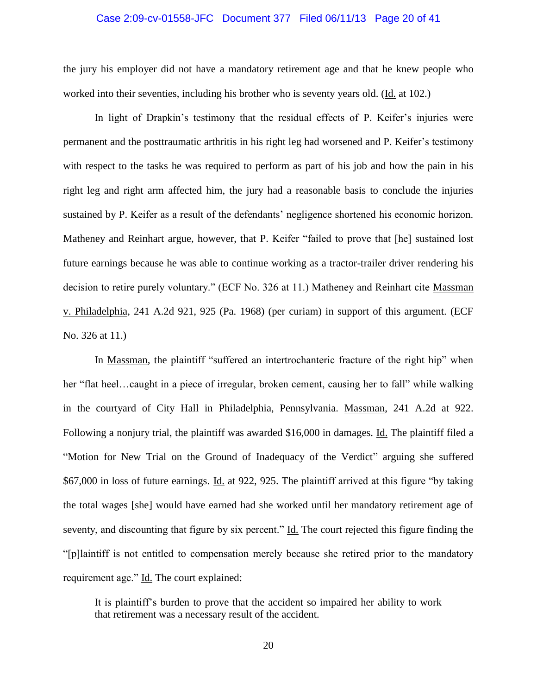#### Case 2:09-cv-01558-JFC Document 377 Filed 06/11/13 Page 20 of 41

the jury his employer did not have a mandatory retirement age and that he knew people who worked into their seventies, including his brother who is seventy years old. (Id. at 102.)

In light of Drapkin's testimony that the residual effects of P. Keifer's injuries were permanent and the posttraumatic arthritis in his right leg had worsened and P. Keifer's testimony with respect to the tasks he was required to perform as part of his job and how the pain in his right leg and right arm affected him, the jury had a reasonable basis to conclude the injuries sustained by P. Keifer as a result of the defendants' negligence shortened his economic horizon. Matheney and Reinhart argue, however, that P. Keifer "failed to prove that [he] sustained lost future earnings because he was able to continue working as a tractor-trailer driver rendering his decision to retire purely voluntary." (ECF No. 326 at 11.) Matheney and Reinhart cite Massman v. Philadelphia, 241 A.2d 921, 925 (Pa. 1968) (per curiam) in support of this argument. (ECF No. 326 at 11.)

In Massman, the plaintiff "suffered an intertrochanteric fracture of the right hip" when her "flat heel…caught in a piece of irregular, broken cement, causing her to fall" while walking in the courtyard of City Hall in Philadelphia, Pennsylvania. Massman, 241 A.2d at 922. Following a nonjury trial, the plaintiff was awarded \$16,000 in damages. Id. The plaintiff filed a "Motion for New Trial on the Ground of Inadequacy of the Verdict" arguing she suffered \$67,000 in loss of future earnings. Id. at 922, 925. The plaintiff arrived at this figure "by taking the total wages [she] would have earned had she worked until her mandatory retirement age of seventy, and discounting that figure by six percent." Id. The court rejected this figure finding the "[p]laintiff is not entitled to compensation merely because she retired prior to the mandatory requirement age." Id. The court explained:

It is plaintiff's burden to prove that the accident so impaired her ability to work that retirement was a necessary result of the accident.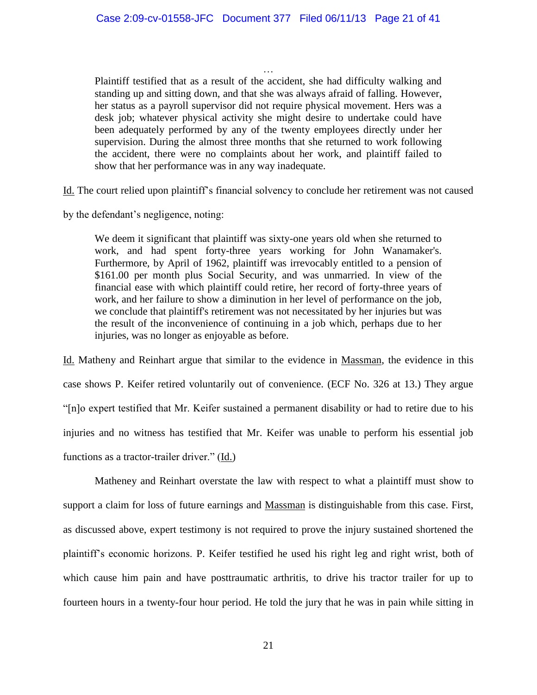… Plaintiff testified that as a result of the accident, she had difficulty walking and standing up and sitting down, and that she was always afraid of falling. However, her status as a payroll supervisor did not require physical movement. Hers was a desk job; whatever physical activity she might desire to undertake could have been adequately performed by any of the twenty employees directly under her supervision. During the almost three months that she returned to work following the accident, there were no complaints about her work, and plaintiff failed to show that her performance was in any way inadequate.

Id. The court relied upon plaintiff's financial solvency to conclude her retirement was not caused

by the defendant's negligence, noting:

We deem it significant that plaintiff was sixty-one years old when she returned to work, and had spent forty-three years working for John Wanamaker's. Furthermore, by April of 1962, plaintiff was irrevocably entitled to a pension of \$161.00 per month plus Social Security, and was unmarried. In view of the financial ease with which plaintiff could retire, her record of forty-three years of work, and her failure to show a diminution in her level of performance on the job, we conclude that plaintiff's retirement was not necessitated by her injuries but was the result of the inconvenience of continuing in a job which, perhaps due to her injuries, was no longer as enjoyable as before.

Id. Matheny and Reinhart argue that similar to the evidence in Massman, the evidence in this case shows P. Keifer retired voluntarily out of convenience. (ECF No. 326 at 13.) They argue "[n]o expert testified that Mr. Keifer sustained a permanent disability or had to retire due to his injuries and no witness has testified that Mr. Keifer was unable to perform his essential job functions as a tractor-trailer driver." (Id.)

Matheney and Reinhart overstate the law with respect to what a plaintiff must show to support a claim for loss of future earnings and Massman is distinguishable from this case. First, as discussed above, expert testimony is not required to prove the injury sustained shortened the plaintiff's economic horizons. P. Keifer testified he used his right leg and right wrist, both of which cause him pain and have posttraumatic arthritis, to drive his tractor trailer for up to fourteen hours in a twenty-four hour period. He told the jury that he was in pain while sitting in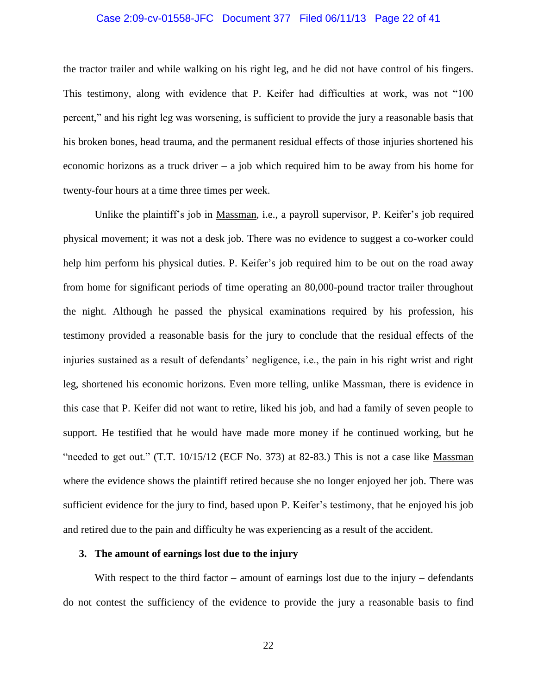#### Case 2:09-cv-01558-JFC Document 377 Filed 06/11/13 Page 22 of 41

the tractor trailer and while walking on his right leg, and he did not have control of his fingers. This testimony, along with evidence that P. Keifer had difficulties at work, was not "100 percent," and his right leg was worsening, is sufficient to provide the jury a reasonable basis that his broken bones, head trauma, and the permanent residual effects of those injuries shortened his economic horizons as a truck driver – a job which required him to be away from his home for twenty-four hours at a time three times per week.

Unlike the plaintiff's job in Massman, i.e., a payroll supervisor, P. Keifer's job required physical movement; it was not a desk job. There was no evidence to suggest a co-worker could help him perform his physical duties. P. Keifer's job required him to be out on the road away from home for significant periods of time operating an 80,000-pound tractor trailer throughout the night. Although he passed the physical examinations required by his profession, his testimony provided a reasonable basis for the jury to conclude that the residual effects of the injuries sustained as a result of defendants' negligence, i.e., the pain in his right wrist and right leg, shortened his economic horizons. Even more telling, unlike Massman, there is evidence in this case that P. Keifer did not want to retire, liked his job, and had a family of seven people to support. He testified that he would have made more money if he continued working, but he "needed to get out."  $(T.T. 10/15/12$  (ECF No. 373) at 82-83.) This is not a case like Massman where the evidence shows the plaintiff retired because she no longer enjoyed her job. There was sufficient evidence for the jury to find, based upon P. Keifer's testimony, that he enjoyed his job and retired due to the pain and difficulty he was experiencing as a result of the accident.

## **3. The amount of earnings lost due to the injury**

With respect to the third factor – amount of earnings lost due to the injury – defendants do not contest the sufficiency of the evidence to provide the jury a reasonable basis to find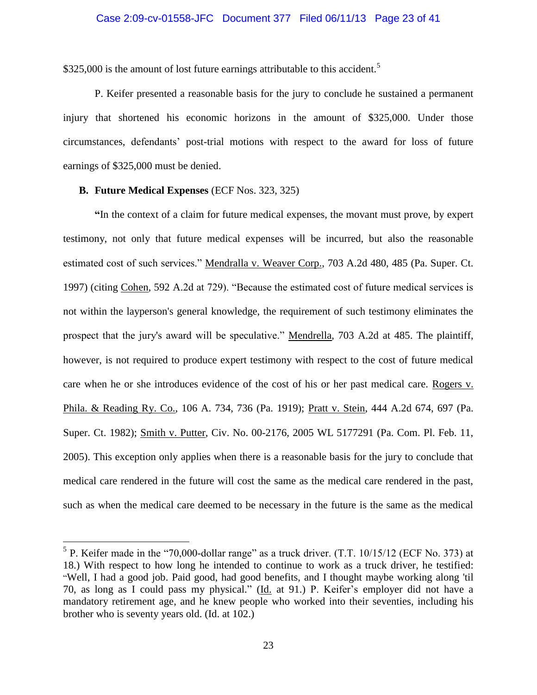#### Case 2:09-cv-01558-JFC Document 377 Filed 06/11/13 Page 23 of 41

\$325,000 is the amount of lost future earnings attributable to this accident.<sup>5</sup>

P. Keifer presented a reasonable basis for the jury to conclude he sustained a permanent injury that shortened his economic horizons in the amount of \$325,000. Under those circumstances, defendants' post-trial motions with respect to the award for loss of future earnings of \$325,000 must be denied.

#### **B. Future Medical Expenses** (ECF Nos. 323, 325)

 $\overline{a}$ 

**"**In the context of a claim for future medical expenses, the movant must prove, by expert testimony, not only that future medical expenses will be incurred, but also the reasonable estimated cost of such services." Mendralla v. Weaver Corp., 703 A.2d 480, 485 (Pa. Super. Ct. 1997) (citing Cohen, 592 A.2d at 729). "Because the estimated cost of future medical services is not within the layperson's general knowledge, the requirement of such testimony eliminates the prospect that the jury's award will be speculative." Mendrella, 703 A.2d at 485. The plaintiff, however, is not required to produce expert testimony with respect to the cost of future medical care when he or she introduces evidence of the cost of his or her past medical care. Rogers v. Phila. & Reading Ry. Co., 106 A. 734, 736 (Pa. 1919); Pratt v. Stein, 444 A.2d 674, 697 (Pa. Super. Ct. 1982); Smith v. Putter, Civ. No. 00-2176, 2005 WL 5177291 (Pa. Com. Pl. Feb. 11, 2005). This exception only applies when there is a reasonable basis for the jury to conclude that medical care rendered in the future will cost the same as the medical care rendered in the past, such as when the medical care deemed to be necessary in the future is the same as the medical

<sup>&</sup>lt;sup>5</sup> P. Keifer made in the "70,000-dollar range" as a truck driver.  $(T.T. 10/15/12$  (ECF No. 373) at 18.) With respect to how long he intended to continue to work as a truck driver, he testified: "Well, I had a good job. Paid good, had good benefits, and I thought maybe working along 'til 70, as long as I could pass my physical." (Id. at 91.) P. Keifer's employer did not have a mandatory retirement age, and he knew people who worked into their seventies, including his brother who is seventy years old. (Id. at 102.)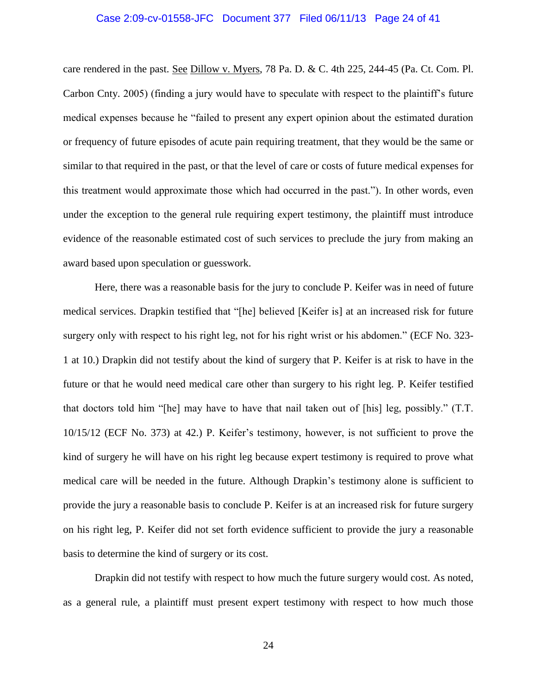#### Case 2:09-cv-01558-JFC Document 377 Filed 06/11/13 Page 24 of 41

care rendered in the past. See Dillow v. Myers, 78 Pa. D. & C. 4th 225, 244-45 (Pa. Ct. Com. Pl. Carbon Cnty. 2005) (finding a jury would have to speculate with respect to the plaintiff's future medical expenses because he "failed to present any expert opinion about the estimated duration or frequency of future episodes of acute pain requiring treatment, that they would be the same or similar to that required in the past, or that the level of care or costs of future medical expenses for this treatment would approximate those which had occurred in the past."). In other words, even under the exception to the general rule requiring expert testimony, the plaintiff must introduce evidence of the reasonable estimated cost of such services to preclude the jury from making an award based upon speculation or guesswork.

Here, there was a reasonable basis for the jury to conclude P. Keifer was in need of future medical services. Drapkin testified that "[he] believed [Keifer is] at an increased risk for future surgery only with respect to his right leg, not for his right wrist or his abdomen." (ECF No. 323- 1 at 10.) Drapkin did not testify about the kind of surgery that P. Keifer is at risk to have in the future or that he would need medical care other than surgery to his right leg. P. Keifer testified that doctors told him "[he] may have to have that nail taken out of [his] leg, possibly." (T.T. 10/15/12 (ECF No. 373) at 42.) P. Keifer's testimony, however, is not sufficient to prove the kind of surgery he will have on his right leg because expert testimony is required to prove what medical care will be needed in the future. Although Drapkin's testimony alone is sufficient to provide the jury a reasonable basis to conclude P. Keifer is at an increased risk for future surgery on his right leg, P. Keifer did not set forth evidence sufficient to provide the jury a reasonable basis to determine the kind of surgery or its cost.

Drapkin did not testify with respect to how much the future surgery would cost. As noted, as a general rule, a plaintiff must present expert testimony with respect to how much those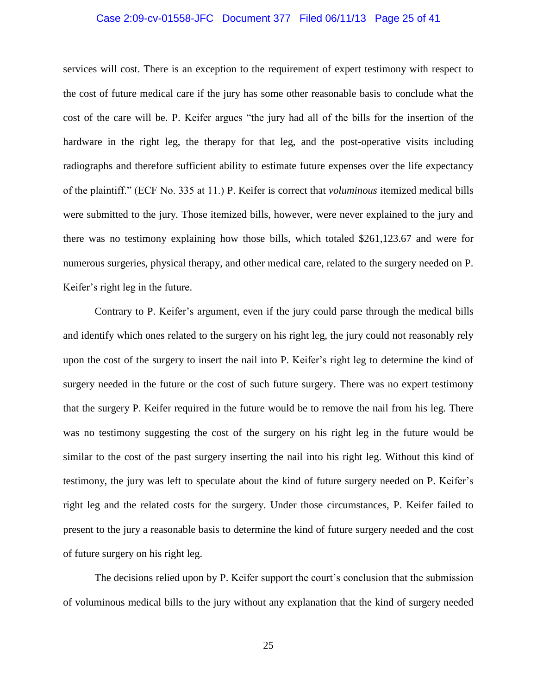#### Case 2:09-cv-01558-JFC Document 377 Filed 06/11/13 Page 25 of 41

services will cost. There is an exception to the requirement of expert testimony with respect to the cost of future medical care if the jury has some other reasonable basis to conclude what the cost of the care will be. P. Keifer argues "the jury had all of the bills for the insertion of the hardware in the right leg, the therapy for that leg, and the post-operative visits including radiographs and therefore sufficient ability to estimate future expenses over the life expectancy of the plaintiff." (ECF No. 335 at 11.) P. Keifer is correct that *voluminous* itemized medical bills were submitted to the jury. Those itemized bills, however, were never explained to the jury and there was no testimony explaining how those bills, which totaled \$261,123.67 and were for numerous surgeries, physical therapy, and other medical care, related to the surgery needed on P. Keifer's right leg in the future.

Contrary to P. Keifer's argument, even if the jury could parse through the medical bills and identify which ones related to the surgery on his right leg, the jury could not reasonably rely upon the cost of the surgery to insert the nail into P. Keifer's right leg to determine the kind of surgery needed in the future or the cost of such future surgery. There was no expert testimony that the surgery P. Keifer required in the future would be to remove the nail from his leg. There was no testimony suggesting the cost of the surgery on his right leg in the future would be similar to the cost of the past surgery inserting the nail into his right leg. Without this kind of testimony, the jury was left to speculate about the kind of future surgery needed on P. Keifer's right leg and the related costs for the surgery. Under those circumstances, P. Keifer failed to present to the jury a reasonable basis to determine the kind of future surgery needed and the cost of future surgery on his right leg.

The decisions relied upon by P. Keifer support the court's conclusion that the submission of voluminous medical bills to the jury without any explanation that the kind of surgery needed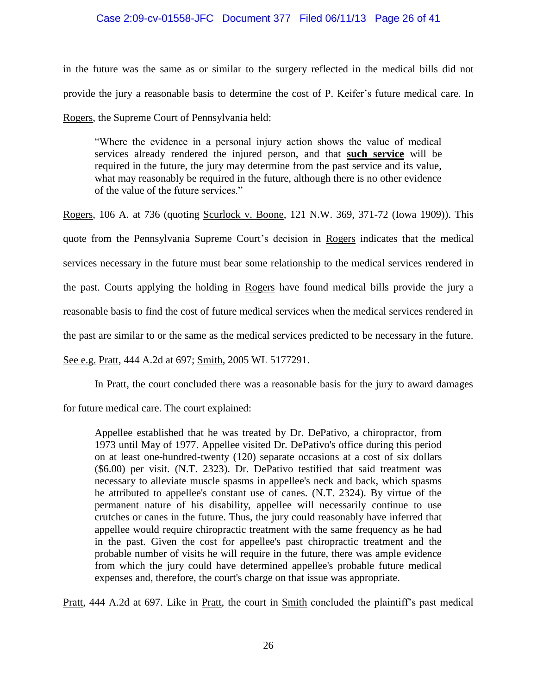# Case 2:09-cv-01558-JFC Document 377 Filed 06/11/13 Page 26 of 41

in the future was the same as or similar to the surgery reflected in the medical bills did not provide the jury a reasonable basis to determine the cost of P. Keifer's future medical care. In Rogers, the Supreme Court of Pennsylvania held:

"Where the evidence in a personal injury action shows the value of medical services already rendered the injured person, and that **such service** will be required in the future, the jury may determine from the past service and its value, what may reasonably be required in the future, although there is no other evidence of the value of the future services."

Rogers, 106 A. at 736 (quoting Scurlock v. Boone, 121 N.W. 369, 371-72 (Iowa 1909)). This quote from the Pennsylvania Supreme Court's decision in Rogers indicates that the medical services necessary in the future must bear some relationship to the medical services rendered in the past. Courts applying the holding in Rogers have found medical bills provide the jury a reasonable basis to find the cost of future medical services when the medical services rendered in the past are similar to or the same as the medical services predicted to be necessary in the future.

See e.g. Pratt, 444 A.2d at 697; Smith, 2005 WL 5177291.

In Pratt, the court concluded there was a reasonable basis for the jury to award damages

for future medical care. The court explained:

Appellee established that he was treated by Dr. DePativo, a chiropractor, from 1973 until May of 1977. Appellee visited Dr. DePativo's office during this period on at least one-hundred-twenty (120) separate occasions at a cost of six dollars (\$6.00) per visit. (N.T. 2323). Dr. DePativo testified that said treatment was necessary to alleviate muscle spasms in appellee's neck and back, which spasms he attributed to appellee's constant use of canes. (N.T. 2324). By virtue of the permanent nature of his disability, appellee will necessarily continue to use crutches or canes in the future. Thus, the jury could reasonably have inferred that appellee would require chiropractic treatment with the same frequency as he had in the past. Given the cost for appellee's past chiropractic treatment and the probable number of visits he will require in the future, there was ample evidence from which the jury could have determined appellee's probable future medical expenses and, therefore, the court's charge on that issue was appropriate.

Pratt, 444 A.2d at 697. Like in Pratt, the court in Smith concluded the plaintiff's past medical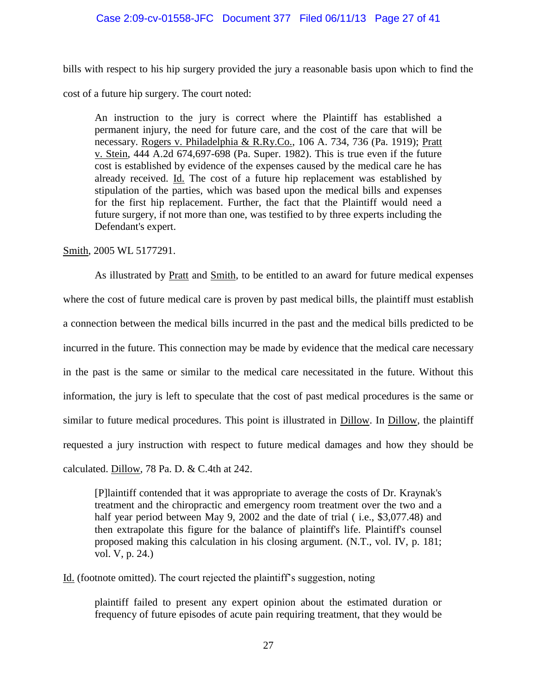# Case 2:09-cv-01558-JFC Document 377 Filed 06/11/13 Page 27 of 41

bills with respect to his hip surgery provided the jury a reasonable basis upon which to find the cost of a future hip surgery. The court noted:

An instruction to the jury is correct where the Plaintiff has established a permanent injury, the need for future care, and the cost of the care that will be necessary. Rogers v. Philadelphia & R.Ry.Co., 106 A. 734, 736 (Pa. 1919); Pratt v. Stein, 444 A.2d 674,697-698 (Pa. Super. 1982). This is true even if the future cost is established by evidence of the expenses caused by the medical care he has already received. Id. The cost of a future hip replacement was established by stipulation of the parties, which was based upon the medical bills and expenses for the first hip replacement. Further, the fact that the Plaintiff would need a future surgery, if not more than one, was testified to by three experts including the Defendant's expert.

Smith, 2005 WL 5177291.

As illustrated by Pratt and Smith, to be entitled to an award for future medical expenses where the cost of future medical care is proven by past medical bills, the plaintiff must establish a connection between the medical bills incurred in the past and the medical bills predicted to be incurred in the future. This connection may be made by evidence that the medical care necessary in the past is the same or similar to the medical care necessitated in the future. Without this information, the jury is left to speculate that the cost of past medical procedures is the same or similar to future medical procedures. This point is illustrated in Dillow. In Dillow, the plaintiff requested a jury instruction with respect to future medical damages and how they should be calculated. Dillow, 78 Pa. D. & C.4th at 242.

[P]laintiff contended that it was appropriate to average the costs of Dr. Kraynak's treatment and the chiropractic and emergency room treatment over the two and a half year period between May 9, 2002 and the date of trial (*i.e.*, \$3,077.48) and then extrapolate this figure for the balance of plaintiff's life. Plaintiff's counsel proposed making this calculation in his closing argument. (N.T., vol. IV, p. 181; vol. V, p. 24.)

Id. (footnote omitted). The court rejected the plaintiff's suggestion, noting

plaintiff failed to present any expert opinion about the estimated duration or frequency of future episodes of acute pain requiring treatment, that they would be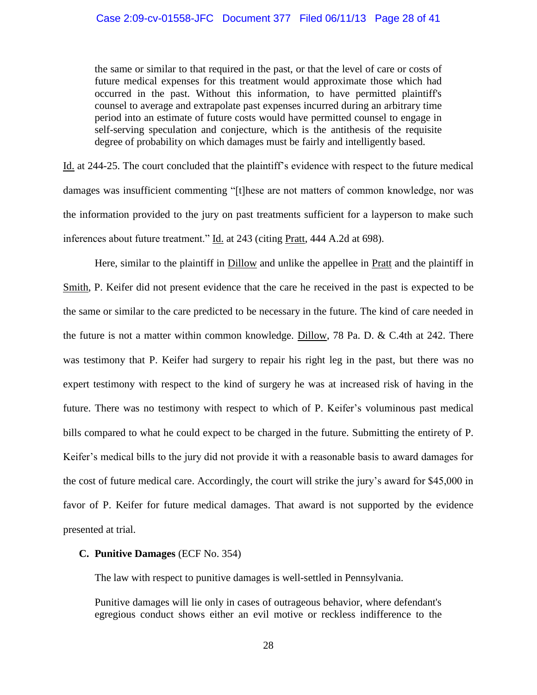the same or similar to that required in the past, or that the level of care or costs of future medical expenses for this treatment would approximate those which had occurred in the past. Without this information, to have permitted plaintiff's counsel to average and extrapolate past expenses incurred during an arbitrary time period into an estimate of future costs would have permitted counsel to engage in self-serving speculation and conjecture, which is the antithesis of the requisite degree of probability on which damages must be fairly and intelligently based.

Id. at 244-25. The court concluded that the plaintiff's evidence with respect to the future medical damages was insufficient commenting "[t]hese are not matters of common knowledge, nor was the information provided to the jury on past treatments sufficient for a layperson to make such inferences about future treatment." Id. at 243 (citing Pratt, 444 A.2d at 698).

Here, similar to the plaintiff in **Dillow** and unlike the appellee in **Pratt** and the plaintiff in Smith, P. Keifer did not present evidence that the care he received in the past is expected to be the same or similar to the care predicted to be necessary in the future. The kind of care needed in the future is not a matter within common knowledge. Dillow, 78 Pa. D. & C.4th at 242. There was testimony that P. Keifer had surgery to repair his right leg in the past, but there was no expert testimony with respect to the kind of surgery he was at increased risk of having in the future. There was no testimony with respect to which of P. Keifer's voluminous past medical bills compared to what he could expect to be charged in the future. Submitting the entirety of P. Keifer's medical bills to the jury did not provide it with a reasonable basis to award damages for the cost of future medical care. Accordingly, the court will strike the jury's award for \$45,000 in favor of P. Keifer for future medical damages. That award is not supported by the evidence presented at trial.

## **C. Punitive Damages** (ECF No. 354)

The law with respect to punitive damages is well-settled in Pennsylvania.

Punitive damages will lie only in cases of outrageous behavior, where defendant's egregious conduct shows either an evil motive or reckless indifference to the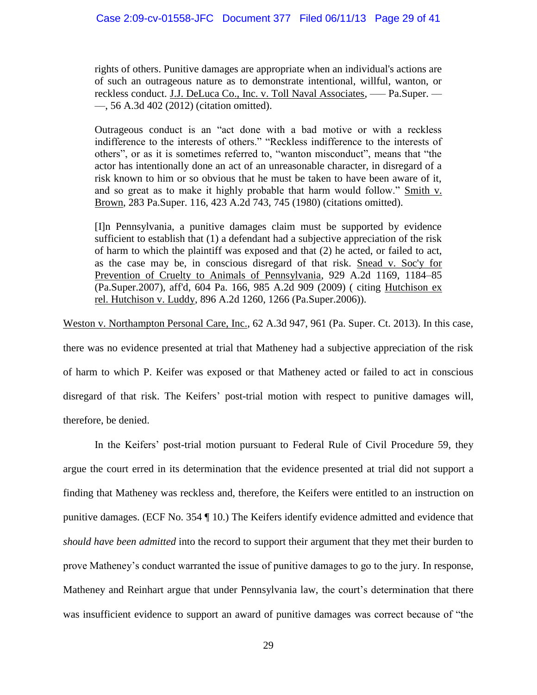rights of others. Punitive damages are appropriate when an individual's actions are of such an outrageous nature as to demonstrate intentional, willful, wanton, or reckless conduct. J.J. DeLuca Co., Inc. v. Toll Naval Associates, ––– Pa.Super. –– ––, 56 A.3d 402 (2012) (citation omitted).

Outrageous conduct is an "act done with a bad motive or with a reckless indifference to the interests of others." "Reckless indifference to the interests of others", or as it is sometimes referred to, "wanton misconduct", means that "the actor has intentionally done an act of an unreasonable character, in disregard of a risk known to him or so obvious that he must be taken to have been aware of it, and so great as to make it highly probable that harm would follow." Smith v. Brown, 283 Pa.Super. 116, 423 A.2d 743, 745 (1980) (citations omitted).

[I]n Pennsylvania, a punitive damages claim must be supported by evidence sufficient to establish that (1) a defendant had a subjective appreciation of the risk of harm to which the plaintiff was exposed and that (2) he acted, or failed to act, as the case may be, in conscious disregard of that risk. Snead v. Soc'y for Prevention of Cruelty to Animals of Pennsylvania, 929 A.2d 1169, 1184–85 (Pa.Super.2007), aff'd, 604 Pa. 166, 985 A.2d 909 (2009) ( citing Hutchison ex rel. Hutchison v. Luddy, 896 A.2d 1260, 1266 (Pa.Super.2006)).

Weston v. Northampton Personal Care, Inc., 62 A.3d 947, 961 (Pa. Super. Ct. 2013). In this case,

there was no evidence presented at trial that Matheney had a subjective appreciation of the risk of harm to which P. Keifer was exposed or that Matheney acted or failed to act in conscious disregard of that risk. The Keifers' post-trial motion with respect to punitive damages will, therefore, be denied.

In the Keifers' post-trial motion pursuant to Federal Rule of Civil Procedure 59, they argue the court erred in its determination that the evidence presented at trial did not support a finding that Matheney was reckless and, therefore, the Keifers were entitled to an instruction on punitive damages. (ECF No. 354 ¶ 10.) The Keifers identify evidence admitted and evidence that *should have been admitted* into the record to support their argument that they met their burden to prove Matheney's conduct warranted the issue of punitive damages to go to the jury. In response, Matheney and Reinhart argue that under Pennsylvania law, the court's determination that there was insufficient evidence to support an award of punitive damages was correct because of "the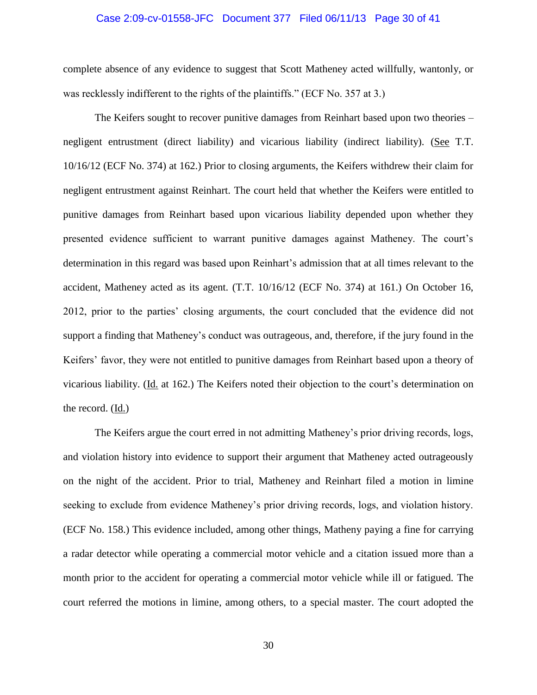#### Case 2:09-cv-01558-JFC Document 377 Filed 06/11/13 Page 30 of 41

complete absence of any evidence to suggest that Scott Matheney acted willfully, wantonly, or was recklessly indifferent to the rights of the plaintiffs." (ECF No. 357 at 3.)

The Keifers sought to recover punitive damages from Reinhart based upon two theories – negligent entrustment (direct liability) and vicarious liability (indirect liability). (See T.T. 10/16/12 (ECF No. 374) at 162.) Prior to closing arguments, the Keifers withdrew their claim for negligent entrustment against Reinhart. The court held that whether the Keifers were entitled to punitive damages from Reinhart based upon vicarious liability depended upon whether they presented evidence sufficient to warrant punitive damages against Matheney. The court's determination in this regard was based upon Reinhart's admission that at all times relevant to the accident, Matheney acted as its agent. (T.T. 10/16/12 (ECF No. 374) at 161.) On October 16, 2012, prior to the parties' closing arguments, the court concluded that the evidence did not support a finding that Matheney's conduct was outrageous, and, therefore, if the jury found in the Keifers' favor, they were not entitled to punitive damages from Reinhart based upon a theory of vicarious liability. (Id. at 162.) The Keifers noted their objection to the court's determination on the record. (Id.)

The Keifers argue the court erred in not admitting Matheney's prior driving records, logs, and violation history into evidence to support their argument that Matheney acted outrageously on the night of the accident. Prior to trial, Matheney and Reinhart filed a motion in limine seeking to exclude from evidence Matheney's prior driving records, logs, and violation history. (ECF No. 158.) This evidence included, among other things, Matheny paying a fine for carrying a radar detector while operating a commercial motor vehicle and a citation issued more than a month prior to the accident for operating a commercial motor vehicle while ill or fatigued. The court referred the motions in limine, among others, to a special master. The court adopted the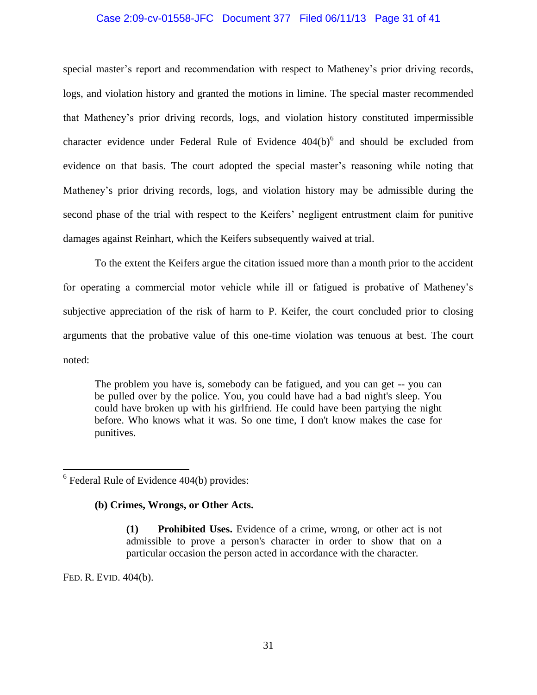# Case 2:09-cv-01558-JFC Document 377 Filed 06/11/13 Page 31 of 41

special master's report and recommendation with respect to Matheney's prior driving records, logs, and violation history and granted the motions in limine. The special master recommended that Matheney's prior driving records, logs, and violation history constituted impermissible character evidence under Federal Rule of Evidence  $404(b)^6$  and should be excluded from evidence on that basis. The court adopted the special master's reasoning while noting that Matheney's prior driving records, logs, and violation history may be admissible during the second phase of the trial with respect to the Keifers' negligent entrustment claim for punitive damages against Reinhart, which the Keifers subsequently waived at trial.

To the extent the Keifers argue the citation issued more than a month prior to the accident for operating a commercial motor vehicle while ill or fatigued is probative of Matheney's subjective appreciation of the risk of harm to P. Keifer, the court concluded prior to closing arguments that the probative value of this one-time violation was tenuous at best. The court noted:

The problem you have is, somebody can be fatigued, and you can get -- you can be pulled over by the police. You, you could have had a bad night's sleep. You could have broken up with his girlfriend. He could have been partying the night before. Who knows what it was. So one time, I don't know makes the case for punitives.

# **(b) Crimes, Wrongs, or Other Acts.**

**(1) Prohibited Uses.** Evidence of a crime, wrong, or other act is not admissible to prove a person's character in order to show that on a particular occasion the person acted in accordance with the character.

FED. R. EVID. 404(b).

 $\overline{a}$ 

 $6$  Federal Rule of Evidence 404(b) provides: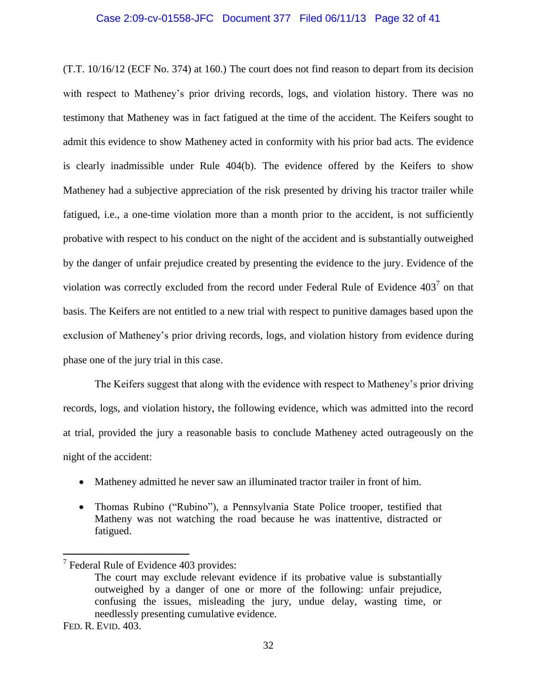#### Case 2:09-cv-01558-JFC Document 377 Filed 06/11/13 Page 32 of 41

(T.T. 10/16/12 (ECF No. 374) at 160.) The court does not find reason to depart from its decision with respect to Matheney's prior driving records, logs, and violation history. There was no testimony that Matheney was in fact fatigued at the time of the accident. The Keifers sought to admit this evidence to show Matheney acted in conformity with his prior bad acts. The evidence is clearly inadmissible under Rule 404(b). The evidence offered by the Keifers to show Matheney had a subjective appreciation of the risk presented by driving his tractor trailer while fatigued, i.e., a one-time violation more than a month prior to the accident, is not sufficiently probative with respect to his conduct on the night of the accident and is substantially outweighed by the danger of unfair prejudice created by presenting the evidence to the jury. Evidence of the violation was correctly excluded from the record under Federal Rule of Evidence  $403^7$  on that basis. The Keifers are not entitled to a new trial with respect to punitive damages based upon the exclusion of Matheney's prior driving records, logs, and violation history from evidence during phase one of the jury trial in this case.

The Keifers suggest that along with the evidence with respect to Matheney's prior driving records, logs, and violation history, the following evidence, which was admitted into the record at trial, provided the jury a reasonable basis to conclude Matheney acted outrageously on the night of the accident:

- Matheney admitted he never saw an illuminated tractor trailer in front of him.
- Thomas Rubino ("Rubino"), a Pennsylvania State Police trooper, testified that Matheny was not watching the road because he was inattentive, distracted or fatigued.

 $\overline{a}$ 

<sup>&</sup>lt;sup>7</sup> Federal Rule of Evidence 403 provides:

The court may exclude relevant evidence if its probative value is substantially outweighed by a danger of one or more of the following: unfair prejudice, confusing the issues, misleading the jury, undue delay, wasting time, or needlessly presenting cumulative evidence.

FED. R. EVID. 403.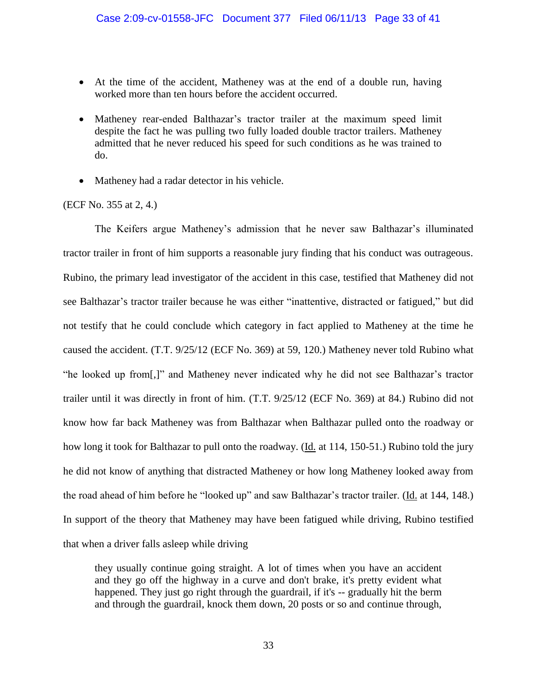- At the time of the accident, Matheney was at the end of a double run, having worked more than ten hours before the accident occurred.
- Matheney rear-ended Balthazar's tractor trailer at the maximum speed limit despite the fact he was pulling two fully loaded double tractor trailers. Matheney admitted that he never reduced his speed for such conditions as he was trained to do.
- Matheney had a radar detector in his vehicle.

### (ECF No. 355 at 2, 4.)

The Keifers argue Matheney's admission that he never saw Balthazar's illuminated tractor trailer in front of him supports a reasonable jury finding that his conduct was outrageous. Rubino, the primary lead investigator of the accident in this case, testified that Matheney did not see Balthazar's tractor trailer because he was either "inattentive, distracted or fatigued," but did not testify that he could conclude which category in fact applied to Matheney at the time he caused the accident. (T.T. 9/25/12 (ECF No. 369) at 59, 120.) Matheney never told Rubino what "he looked up from[,]" and Matheney never indicated why he did not see Balthazar's tractor trailer until it was directly in front of him. (T.T. 9/25/12 (ECF No. 369) at 84.) Rubino did not know how far back Matheney was from Balthazar when Balthazar pulled onto the roadway or how long it took for Balthazar to pull onto the roadway. (Id. at 114, 150-51.) Rubino told the jury he did not know of anything that distracted Matheney or how long Matheney looked away from the road ahead of him before he "looked up" and saw Balthazar's tractor trailer. (Id. at 144, 148.) In support of the theory that Matheney may have been fatigued while driving, Rubino testified that when a driver falls asleep while driving

they usually continue going straight. A lot of times when you have an accident and they go off the highway in a curve and don't brake, it's pretty evident what happened. They just go right through the guardrail, if it's -- gradually hit the berm and through the guardrail, knock them down, 20 posts or so and continue through,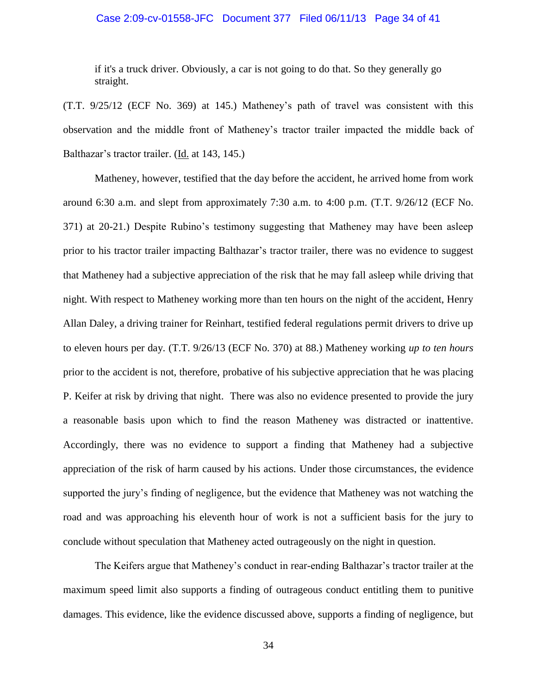#### Case 2:09-cv-01558-JFC Document 377 Filed 06/11/13 Page 34 of 41

if it's a truck driver. Obviously, a car is not going to do that. So they generally go straight.

(T.T. 9/25/12 (ECF No. 369) at 145.) Matheney's path of travel was consistent with this observation and the middle front of Matheney's tractor trailer impacted the middle back of Balthazar's tractor trailer. (Id. at 143, 145.)

Matheney, however, testified that the day before the accident, he arrived home from work around 6:30 a.m. and slept from approximately 7:30 a.m. to 4:00 p.m. (T.T. 9/26/12 (ECF No. 371) at 20-21.) Despite Rubino's testimony suggesting that Matheney may have been asleep prior to his tractor trailer impacting Balthazar's tractor trailer, there was no evidence to suggest that Matheney had a subjective appreciation of the risk that he may fall asleep while driving that night. With respect to Matheney working more than ten hours on the night of the accident, Henry Allan Daley, a driving trainer for Reinhart, testified federal regulations permit drivers to drive up to eleven hours per day. (T.T. 9/26/13 (ECF No. 370) at 88.) Matheney working *up to ten hours* prior to the accident is not, therefore, probative of his subjective appreciation that he was placing P. Keifer at risk by driving that night. There was also no evidence presented to provide the jury a reasonable basis upon which to find the reason Matheney was distracted or inattentive. Accordingly, there was no evidence to support a finding that Matheney had a subjective appreciation of the risk of harm caused by his actions. Under those circumstances, the evidence supported the jury's finding of negligence, but the evidence that Matheney was not watching the road and was approaching his eleventh hour of work is not a sufficient basis for the jury to conclude without speculation that Matheney acted outrageously on the night in question.

The Keifers argue that Matheney's conduct in rear-ending Balthazar's tractor trailer at the maximum speed limit also supports a finding of outrageous conduct entitling them to punitive damages. This evidence, like the evidence discussed above, supports a finding of negligence, but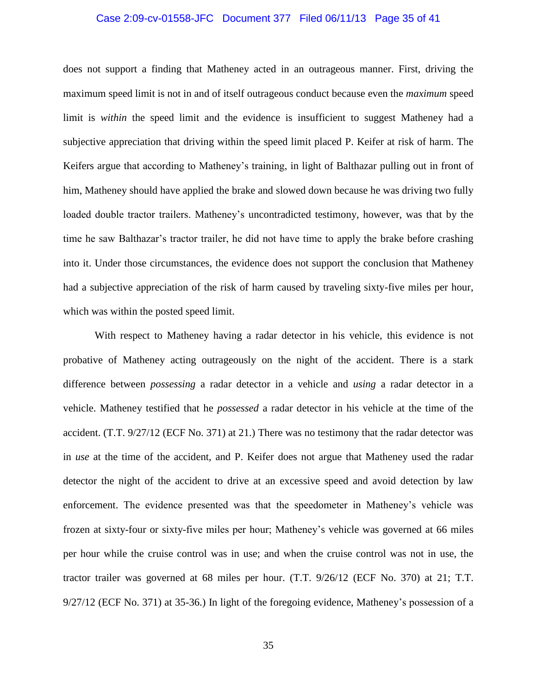#### Case 2:09-cv-01558-JFC Document 377 Filed 06/11/13 Page 35 of 41

does not support a finding that Matheney acted in an outrageous manner. First, driving the maximum speed limit is not in and of itself outrageous conduct because even the *maximum* speed limit is *within* the speed limit and the evidence is insufficient to suggest Matheney had a subjective appreciation that driving within the speed limit placed P. Keifer at risk of harm. The Keifers argue that according to Matheney's training, in light of Balthazar pulling out in front of him, Matheney should have applied the brake and slowed down because he was driving two fully loaded double tractor trailers. Matheney's uncontradicted testimony, however, was that by the time he saw Balthazar's tractor trailer, he did not have time to apply the brake before crashing into it. Under those circumstances, the evidence does not support the conclusion that Matheney had a subjective appreciation of the risk of harm caused by traveling sixty-five miles per hour, which was within the posted speed limit.

With respect to Matheney having a radar detector in his vehicle, this evidence is not probative of Matheney acting outrageously on the night of the accident. There is a stark difference between *possessing* a radar detector in a vehicle and *using* a radar detector in a vehicle. Matheney testified that he *possessed* a radar detector in his vehicle at the time of the accident. (T.T. 9/27/12 (ECF No. 371) at 21.) There was no testimony that the radar detector was in *use* at the time of the accident, and P. Keifer does not argue that Matheney used the radar detector the night of the accident to drive at an excessive speed and avoid detection by law enforcement. The evidence presented was that the speedometer in Matheney's vehicle was frozen at sixty-four or sixty-five miles per hour; Matheney's vehicle was governed at 66 miles per hour while the cruise control was in use; and when the cruise control was not in use, the tractor trailer was governed at 68 miles per hour. (T.T. 9/26/12 (ECF No. 370) at 21; T.T. 9/27/12 (ECF No. 371) at 35-36.) In light of the foregoing evidence, Matheney's possession of a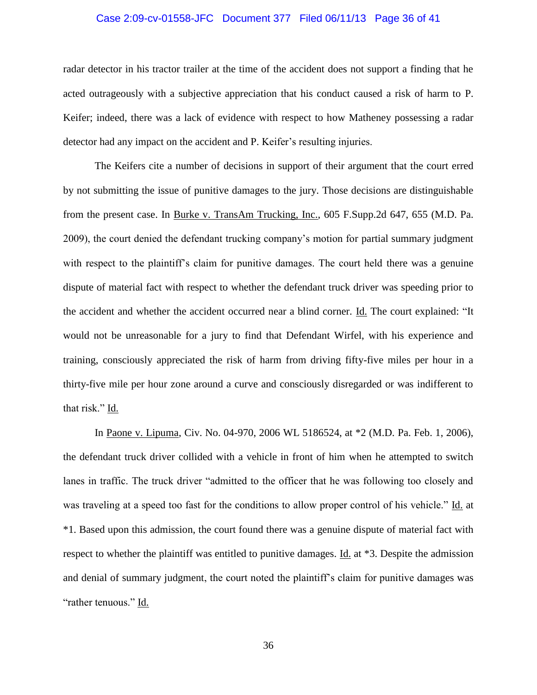#### Case 2:09-cv-01558-JFC Document 377 Filed 06/11/13 Page 36 of 41

radar detector in his tractor trailer at the time of the accident does not support a finding that he acted outrageously with a subjective appreciation that his conduct caused a risk of harm to P. Keifer; indeed, there was a lack of evidence with respect to how Matheney possessing a radar detector had any impact on the accident and P. Keifer's resulting injuries.

The Keifers cite a number of decisions in support of their argument that the court erred by not submitting the issue of punitive damages to the jury. Those decisions are distinguishable from the present case. In Burke v. TransAm Trucking, Inc., 605 F.Supp.2d 647, 655 (M.D. Pa. 2009), the court denied the defendant trucking company's motion for partial summary judgment with respect to the plaintiff's claim for punitive damages. The court held there was a genuine dispute of material fact with respect to whether the defendant truck driver was speeding prior to the accident and whether the accident occurred near a blind corner. Id. The court explained: "It would not be unreasonable for a jury to find that Defendant Wirfel, with his experience and training, consciously appreciated the risk of harm from driving fifty-five miles per hour in a thirty-five mile per hour zone around a curve and consciously disregarded or was indifferent to that risk." Id.

In Paone v. Lipuma, Civ. No. 04-970, 2006 WL 5186524, at \*2 (M.D. Pa. Feb. 1, 2006), the defendant truck driver collided with a vehicle in front of him when he attempted to switch lanes in traffic. The truck driver "admitted to the officer that he was following too closely and was traveling at a speed too fast for the conditions to allow proper control of his vehicle." Id. at \*1. Based upon this admission, the court found there was a genuine dispute of material fact with respect to whether the plaintiff was entitled to punitive damages. Id. at \*3. Despite the admission and denial of summary judgment, the court noted the plaintiff's claim for punitive damages was "rather tenuous." Id.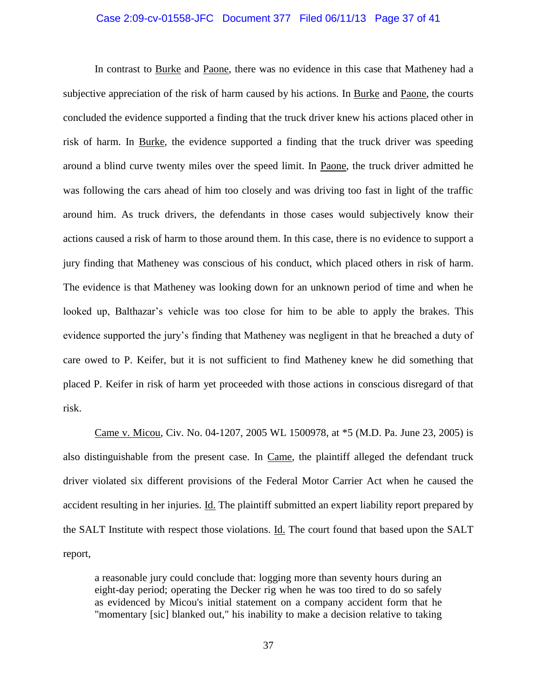# Case 2:09-cv-01558-JFC Document 377 Filed 06/11/13 Page 37 of 41

In contrast to Burke and Paone, there was no evidence in this case that Matheney had a subjective appreciation of the risk of harm caused by his actions. In Burke and Paone, the courts concluded the evidence supported a finding that the truck driver knew his actions placed other in risk of harm. In Burke, the evidence supported a finding that the truck driver was speeding around a blind curve twenty miles over the speed limit. In Paone, the truck driver admitted he was following the cars ahead of him too closely and was driving too fast in light of the traffic around him. As truck drivers, the defendants in those cases would subjectively know their actions caused a risk of harm to those around them. In this case, there is no evidence to support a jury finding that Matheney was conscious of his conduct, which placed others in risk of harm. The evidence is that Matheney was looking down for an unknown period of time and when he looked up, Balthazar's vehicle was too close for him to be able to apply the brakes. This evidence supported the jury's finding that Matheney was negligent in that he breached a duty of care owed to P. Keifer, but it is not sufficient to find Matheney knew he did something that placed P. Keifer in risk of harm yet proceeded with those actions in conscious disregard of that risk.

Came v. Micou, Civ. No. 04-1207, 2005 WL 1500978, at \*5 (M.D. Pa. June 23, 2005) is also distinguishable from the present case. In Came, the plaintiff alleged the defendant truck driver violated six different provisions of the Federal Motor Carrier Act when he caused the accident resulting in her injuries. Id. The plaintiff submitted an expert liability report prepared by the SALT Institute with respect those violations. Id. The court found that based upon the SALT report,

a reasonable jury could conclude that: logging more than seventy hours during an eight-day period; operating the Decker rig when he was too tired to do so safely as evidenced by Micou's initial statement on a company accident form that he "momentary [sic] blanked out," his inability to make a decision relative to taking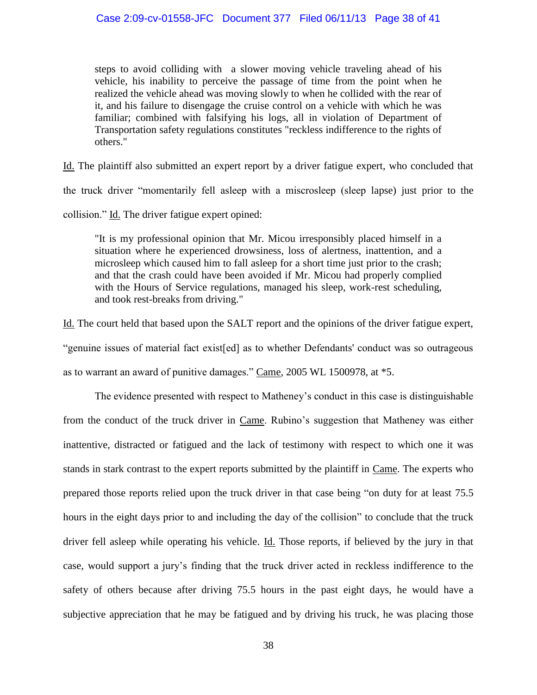steps to avoid colliding with a slower moving vehicle traveling ahead of his vehicle, his inability to perceive the passage of time from the point when he realized the vehicle ahead was moving slowly to when he collided with the rear of it, and his failure to disengage the cruise control on a vehicle with which he was familiar; combined with falsifying his logs, all in violation of Department of Transportation safety regulations constitutes "reckless indifference to the rights of others."

Id. The plaintiff also submitted an expert report by a driver fatigue expert, who concluded that the truck driver "momentarily fell asleep with a miscrosleep (sleep lapse) just prior to the collision." Id. The driver fatigue expert opined:

"It is my professional opinion that Mr. Micou irresponsibly placed himself in a situation where he experienced drowsiness, loss of alertness, inattention, and a microsleep which caused him to fall asleep for a short time just prior to the crash; and that the crash could have been avoided if Mr. Micou had properly complied with the Hours of Service regulations, managed his sleep, work-rest scheduling, and took rest-breaks from driving."

Id. The court held that based upon the SALT report and the opinions of the driver fatigue expert, "genuine issues of material fact exist[ed] as to whether Defendants' conduct was so outrageous as to warrant an award of punitive damages." Came, 2005 WL 1500978, at \*5.

The evidence presented with respect to Matheney's conduct in this case is distinguishable from the conduct of the truck driver in Came. Rubino's suggestion that Matheney was either inattentive, distracted or fatigued and the lack of testimony with respect to which one it was stands in stark contrast to the expert reports submitted by the plaintiff in Came. The experts who prepared those reports relied upon the truck driver in that case being "on duty for at least 75.5 hours in the eight days prior to and including the day of the collision" to conclude that the truck driver fell asleep while operating his vehicle. Id. Those reports, if believed by the jury in that case, would support a jury's finding that the truck driver acted in reckless indifference to the safety of others because after driving 75.5 hours in the past eight days, he would have a subjective appreciation that he may be fatigued and by driving his truck, he was placing those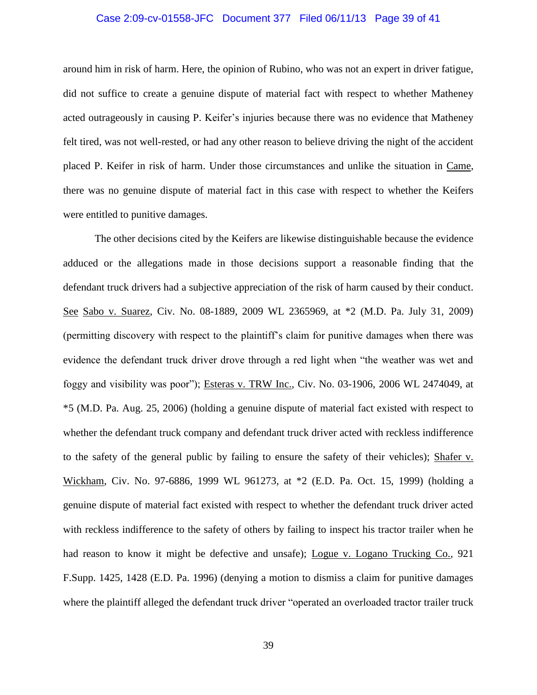#### Case 2:09-cv-01558-JFC Document 377 Filed 06/11/13 Page 39 of 41

around him in risk of harm. Here, the opinion of Rubino, who was not an expert in driver fatigue, did not suffice to create a genuine dispute of material fact with respect to whether Matheney acted outrageously in causing P. Keifer's injuries because there was no evidence that Matheney felt tired, was not well-rested, or had any other reason to believe driving the night of the accident placed P. Keifer in risk of harm. Under those circumstances and unlike the situation in Came, there was no genuine dispute of material fact in this case with respect to whether the Keifers were entitled to punitive damages.

The other decisions cited by the Keifers are likewise distinguishable because the evidence adduced or the allegations made in those decisions support a reasonable finding that the defendant truck drivers had a subjective appreciation of the risk of harm caused by their conduct. See Sabo v. Suarez, Civ. No. 08-1889, 2009 WL 2365969, at \*2 (M.D. Pa. July 31, 2009) (permitting discovery with respect to the plaintiff's claim for punitive damages when there was evidence the defendant truck driver drove through a red light when "the weather was wet and foggy and visibility was poor"); Esteras v. TRW Inc., Civ. No. 03-1906, 2006 WL 2474049, at \*5 (M.D. Pa. Aug. 25, 2006) (holding a genuine dispute of material fact existed with respect to whether the defendant truck company and defendant truck driver acted with reckless indifference to the safety of the general public by failing to ensure the safety of their vehicles); Shafer v. Wickham, Civ. No. 97-6886, 1999 WL 961273, at \*2 (E.D. Pa. Oct. 15, 1999) (holding a genuine dispute of material fact existed with respect to whether the defendant truck driver acted with reckless indifference to the safety of others by failing to inspect his tractor trailer when he had reason to know it might be defective and unsafe); Logue v. Logano Trucking Co., 921 F.Supp. 1425, 1428 (E.D. Pa. 1996) (denying a motion to dismiss a claim for punitive damages where the plaintiff alleged the defendant truck driver "operated an overloaded tractor trailer truck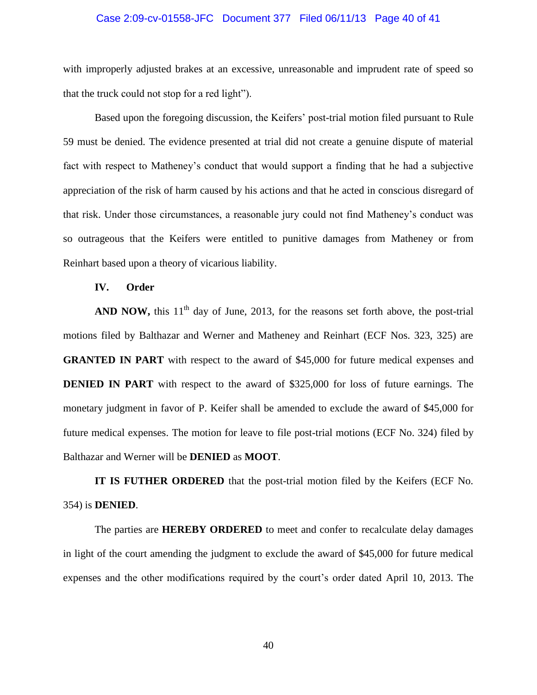#### Case 2:09-cv-01558-JFC Document 377 Filed 06/11/13 Page 40 of 41

with improperly adjusted brakes at an excessive, unreasonable and imprudent rate of speed so that the truck could not stop for a red light").

Based upon the foregoing discussion, the Keifers' post-trial motion filed pursuant to Rule 59 must be denied. The evidence presented at trial did not create a genuine dispute of material fact with respect to Matheney's conduct that would support a finding that he had a subjective appreciation of the risk of harm caused by his actions and that he acted in conscious disregard of that risk. Under those circumstances, a reasonable jury could not find Matheney's conduct was so outrageous that the Keifers were entitled to punitive damages from Matheney or from Reinhart based upon a theory of vicarious liability.

# **IV. Order**

**AND NOW,** this  $11<sup>th</sup>$  day of June, 2013, for the reasons set forth above, the post-trial motions filed by Balthazar and Werner and Matheney and Reinhart (ECF Nos. 323, 325) are **GRANTED IN PART** with respect to the award of \$45,000 for future medical expenses and **DENIED IN PART** with respect to the award of \$325,000 for loss of future earnings. The monetary judgment in favor of P. Keifer shall be amended to exclude the award of \$45,000 for future medical expenses. The motion for leave to file post-trial motions (ECF No. 324) filed by Balthazar and Werner will be **DENIED** as **MOOT**.

**IT IS FUTHER ORDERED** that the post-trial motion filed by the Keifers (ECF No. 354) is **DENIED**.

The parties are **HEREBY ORDERED** to meet and confer to recalculate delay damages in light of the court amending the judgment to exclude the award of \$45,000 for future medical expenses and the other modifications required by the court's order dated April 10, 2013. The

40